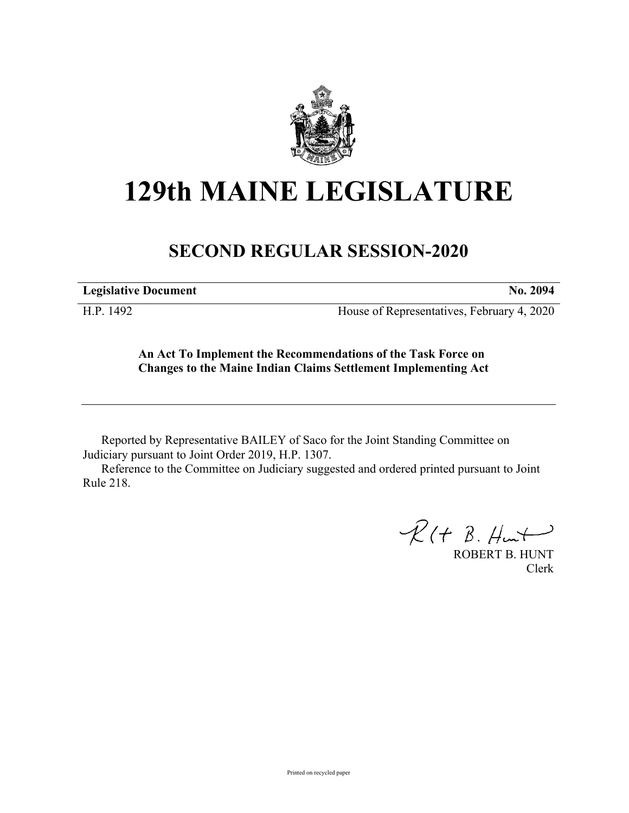

# **129th MAINE LEGISLATURE**

# **SECOND REGULAR SESSION-2020**

**Legislative Document No. 2094**

H.P. 1492 House of Representatives, February 4, 2020

**An Act To Implement the Recommendations of the Task Force on Changes to the Maine Indian Claims Settlement Implementing Act**

Reported by Representative BAILEY of Saco for the Joint Standing Committee on Judiciary pursuant to Joint Order 2019, H.P. 1307.

Reference to the Committee on Judiciary suggested and ordered printed pursuant to Joint Rule 218.

 $R(H B. H<sub>un</sub>)$ 

ROBERT B. HUNT Clerk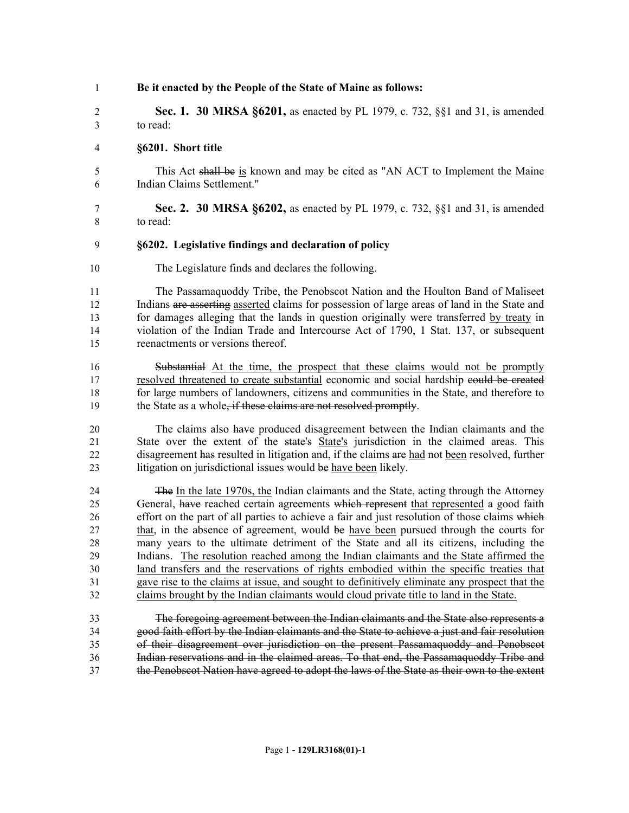| $\mathbf{1}$ | Be it enacted by the People of the State of Maine as follows:                                 |
|--------------|-----------------------------------------------------------------------------------------------|
| 2            | <b>Sec. 1. 30 MRSA §6201,</b> as enacted by PL 1979, c. 732, §§1 and 31, is amended           |
| 3            | to read:                                                                                      |
| 4            | §6201. Short title                                                                            |
| 5            | This Act shall be is known and may be cited as "AN ACT to Implement the Maine                 |
| 6            | Indian Claims Settlement."                                                                    |
| 7            | Sec. 2. 30 MRSA §6202, as enacted by PL 1979, c. 732, §§1 and 31, is amended                  |
| 8            | to read:                                                                                      |
| 9            | §6202. Legislative findings and declaration of policy                                         |
| 10           | The Legislature finds and declares the following.                                             |
| 11           | The Passamaquoddy Tribe, the Penobscot Nation and the Houlton Band of Maliseet                |
| 12           | Indians are asserting asserted claims for possession of large areas of land in the State and  |
| 13           | for damages alleging that the lands in question originally were transferred by treaty in      |
| 14           | violation of the Indian Trade and Intercourse Act of 1790, 1 Stat. 137, or subsequent         |
| 15           | reenactments or versions thereof.                                                             |
| 16           | Substantial At the time, the prospect that these claims would not be promptly                 |
| 17           | resolved threatened to create substantial economic and social hardship eould be created       |
| 18           | for large numbers of landowners, citizens and communities in the State, and therefore to      |
| 19           | the State as a whole, if these claims are not resolved promptly.                              |
| 20           | The claims also have produced disagreement between the Indian claimants and the               |
| 21           | State over the extent of the state's State's jurisdiction in the claimed areas. This          |
| 22           | disagreement has resulted in litigation and, if the claims are had not been resolved, further |
| 23           | litigation on jurisdictional issues would be have been likely.                                |
| 24           | The In the late 1970s, the Indian claimants and the State, acting through the Attorney        |
| 25           | General, have reached certain agreements which represent that represented a good faith        |
| 26           | effort on the part of all parties to achieve a fair and just resolution of those claims which |
| 27           | that, in the absence of agreement, would be have been pursued through the courts for          |
| 28           | many years to the ultimate detriment of the State and all its citizens, including the         |
| 29           | Indians. The resolution reached among the Indian claimants and the State affirmed the         |
| 30           | land transfers and the reservations of rights embodied within the specific treaties that      |
| 31           | gave rise to the claims at issue, and sought to definitively eliminate any prospect that the  |
| 32           | claims brought by the Indian claimants would cloud private title to land in the State.        |
| 33           | The foregoing agreement between the Indian claimants and the State also represents a          |

33 The foregoing agreement between the Indian claimants and the State also represents a 34 good faith effort by the Indian claimants and the State to achieve a just and fair resolution<br>35 of their disagreement over jurisdiction on the present Passamaquoddy and Penobscot of their disagreement over jurisdiction on the present Passamaquoddy and Penobscot 36 Indian reservations and in the claimed areas. To that end, the Passamaquoddy Tribe and 37 the Penobscot Nation have agreed to adopt the laws of the State as their own to the extent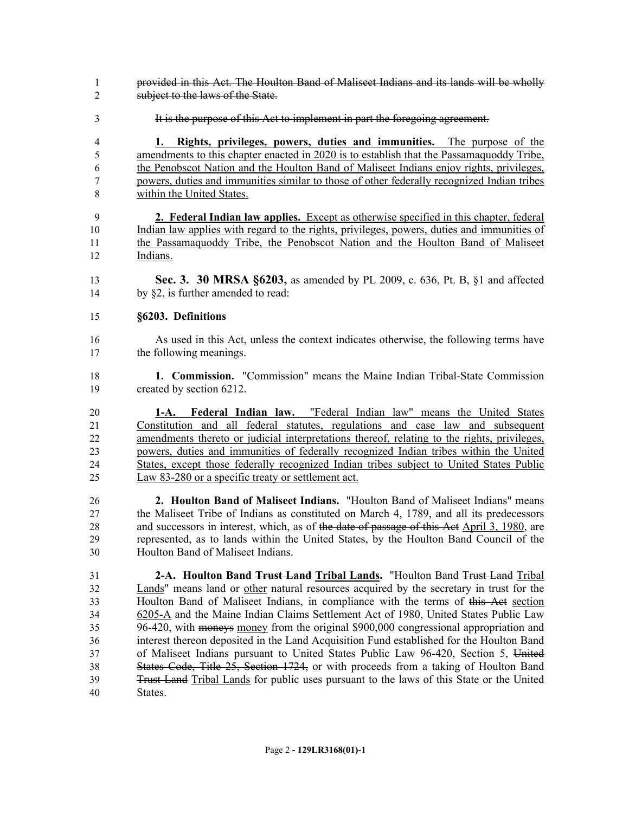- provided in this Act. The Houlton Band of Maliseet Indians and its lands will be wholly subject to the laws of the State.
- It is the purpose of this Act to implement in part the foregoing agreement.

 **1. Rights, privileges, powers, duties and immunities.** The purpose of the amendments to this chapter enacted in 2020 is to establish that the Passamaquoddy Tribe, the Penobscot Nation and the Houlton Band of Maliseet Indians enjoy rights, privileges, powers, duties and immunities similar to those of other federally recognized Indian tribes within the United States.

 **2. Federal Indian law applies.** Except as otherwise specified in this chapter, federal Indian law applies with regard to the rights, privileges, powers, duties and immunities of the Passamaquoddy Tribe, the Penobscot Nation and the Houlton Band of Maliseet Indians.

 **Sec. 3. 30 MRSA §6203,** as amended by PL 2009, c. 636, Pt. B, §1 and affected 14 by §2, is further amended to read:

#### **§6203. Definitions**

- As used in this Act, unless the context indicates otherwise, the following terms have the following meanings.
- **1. Commission.** "Commission" means the Maine Indian Tribal-State Commission created by section 6212.
- **1-A. Federal Indian law.** "Federal Indian law" means the United States Constitution and all federal statutes, regulations and case law and subsequent amendments thereto or judicial interpretations thereof, relating to the rights, privileges, powers, duties and immunities of federally recognized Indian tribes within the United States, except those federally recognized Indian tribes subject to United States Public Law 83-280 or a specific treaty or settlement act.
- **2. Houlton Band of Maliseet Indians.** "Houlton Band of Maliseet Indians" means the Maliseet Tribe of Indians as constituted on March 4, 1789, and all its predecessors 28 and successors in interest, which, as of the date of passage of this Act April 3, 1980, are represented, as to lands within the United States, by the Houlton Band Council of the Houlton Band of Maliseet Indians.
- **2-A. Houlton Band Trust Land Tribal Lands.** "Houlton Band Trust Land Tribal Lands" means land or other natural resources acquired by the secretary in trust for the Houlton Band of Maliseet Indians, in compliance with the terms of this Act section 6205-A and the Maine Indian Claims Settlement Act of 1980, United States Public Law 96-420, with moneys money from the original \$900,000 congressional appropriation and interest thereon deposited in the Land Acquisition Fund established for the Houlton Band of Maliseet Indians pursuant to United States Public Law 96-420, Section 5, United States Code, Title 25, Section 1724, or with proceeds from a taking of Houlton Band Trust Land Tribal Lands for public uses pursuant to the laws of this State or the United States.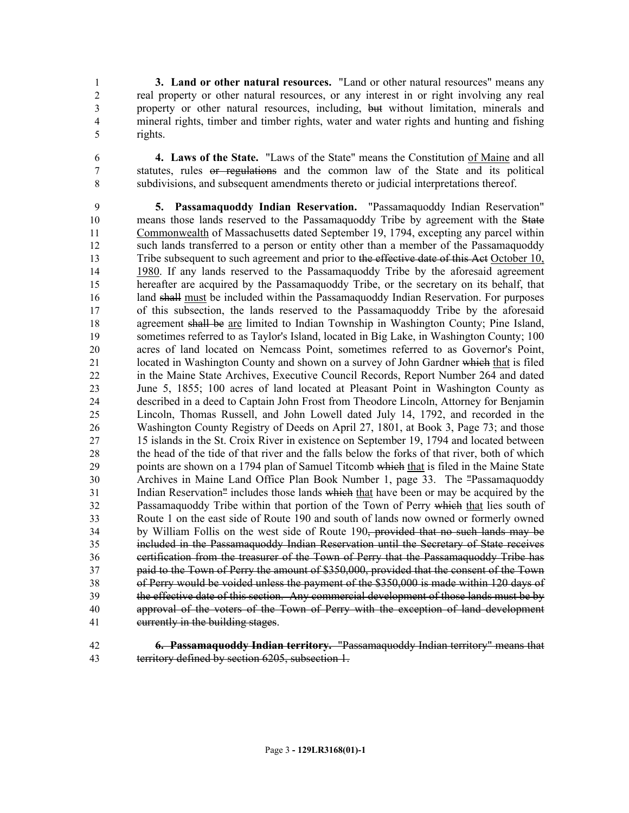**3. Land or other natural resources.** "Land or other natural resources" means any real property or other natural resources, or any interest in or right involving any real property or other natural resources, including, but without limitation, minerals and mineral rights, timber and timber rights, water and water rights and hunting and fishing rights.

 **4. Laws of the State.** "Laws of the State" means the Constitution of Maine and all statutes, rules or regulations and the common law of the State and its political subdivisions, and subsequent amendments thereto or judicial interpretations thereof.

 **5. Passamaquoddy Indian Reservation.** "Passamaquoddy Indian Reservation" 10 means those lands reserved to the Passamaquoddy Tribe by agreement with the State Commonwealth of Massachusetts dated September 19, 1794, excepting any parcel within such lands transferred to a person or entity other than a member of the Passamaquoddy 13 Tribe subsequent to such agreement and prior to the effective date of this Act October 10, 1980. If any lands reserved to the Passamaquoddy Tribe by the aforesaid agreement hereafter are acquired by the Passamaquoddy Tribe, or the secretary on its behalf, that 16 land shall must be included within the Passamaguoddy Indian Reservation. For purposes of this subsection, the lands reserved to the Passamaquoddy Tribe by the aforesaid 18 agreement shall be are limited to Indian Township in Washington County; Pine Island, sometimes referred to as Taylor's Island, located in Big Lake, in Washington County; 100 acres of land located on Nemcass Point, sometimes referred to as Governor's Point, 21 located in Washington County and shown on a survey of John Gardner which that is filed in the Maine State Archives, Executive Council Records, Report Number 264 and dated June 5, 1855; 100 acres of land located at Pleasant Point in Washington County as described in a deed to Captain John Frost from Theodore Lincoln, Attorney for Benjamin Lincoln, Thomas Russell, and John Lowell dated July 14, 1792, and recorded in the Washington County Registry of Deeds on April 27, 1801, at Book 3, Page 73; and those 15 islands in the St. Croix River in existence on September 19, 1794 and located between the head of the tide of that river and the falls below the forks of that river, both of which points are shown on a 1794 plan of Samuel Titcomb which that is filed in the Maine State Archives in Maine Land Office Plan Book Number 1, page 33. The "Passamaquoddy Indian Reservation" includes those lands which that have been or may be acquired by the Passamaquoddy Tribe within that portion of the Town of Perry which that lies south of Route 1 on the east side of Route 190 and south of lands now owned or formerly owned by William Follis on the west side of Route 190, provided that no such lands may be included in the Passamaquoddy Indian Reservation until the Secretary of State receives certification from the treasurer of the Town of Perry that the Passamaquoddy Tribe has paid to the Town of Perry the amount of \$350,000, provided that the consent of the Town of Perry would be voided unless the payment of the \$350,000 is made within 120 days of the effective date of this section. Any commercial development of those lands must be by approval of the voters of the Town of Perry with the exception of land development currently in the building stages.

 **6. Passamaquoddy Indian territory.** "Passamaquoddy Indian territory" means that territory defined by section 6205, subsection 1.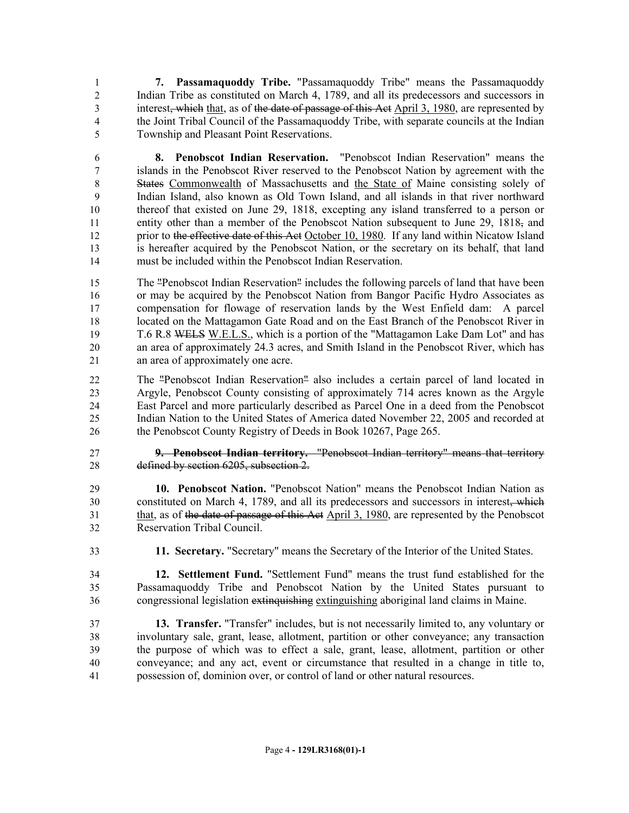**7. Passamaquoddy Tribe.** "Passamaquoddy Tribe" means the Passamaquoddy Indian Tribe as constituted on March 4, 1789, and all its predecessors and successors in 3 interest<del>, which</del> that, as of the date of passage of this Act April 3, 1980, are represented by the Joint Tribal Council of the Passamaquoddy Tribe, with separate councils at the Indian Township and Pleasant Point Reservations.

 **8. Penobscot Indian Reservation.** "Penobscot Indian Reservation" means the islands in the Penobscot River reserved to the Penobscot Nation by agreement with the States Commonwealth of Massachusetts and the State of Maine consisting solely of Indian Island, also known as Old Town Island, and all islands in that river northward thereof that existed on June 29, 1818, excepting any island transferred to a person or 11 entity other than a member of the Penobscot Nation subsequent to June 29,  $1818<sub>z</sub>$  and 12 prior to the effective date of this Act October 10, 1980. If any land within Nicatow Island is hereafter acquired by the Penobscot Nation, or the secretary on its behalf, that land must be included within the Penobscot Indian Reservation.

 The "Penobscot Indian Reservation" includes the following parcels of land that have been or may be acquired by the Penobscot Nation from Bangor Pacific Hydro Associates as compensation for flowage of reservation lands by the West Enfield dam: A parcel located on the Mattagamon Gate Road and on the East Branch of the Penobscot River in T.6 R.8 WELS W.E.L.S., which is a portion of the "Mattagamon Lake Dam Lot" and has an area of approximately 24.3 acres, and Smith Island in the Penobscot River, which has an area of approximately one acre.

 The "Penobscot Indian Reservation" also includes a certain parcel of land located in Argyle, Penobscot County consisting of approximately 714 acres known as the Argyle East Parcel and more particularly described as Parcel One in a deed from the Penobscot Indian Nation to the United States of America dated November 22, 2005 and recorded at 26 the Penobscot County Registry of Deeds in Book 10267, Page 265.

 **9. Penobscot Indian territory.** "Penobscot Indian territory" means that territory defined by section 6205, subsection 2.

 **10. Penobscot Nation.** "Penobscot Nation" means the Penobscot Indian Nation as constituted on March 4, 1789, and all its predecessors and successors in interest, which that, as of the date of passage of this Act April 3, 1980, are represented by the Penobscot Reservation Tribal Council.

**11. Secretary.** "Secretary" means the Secretary of the Interior of the United States.

 **12. Settlement Fund.** "Settlement Fund" means the trust fund established for the Passamaquoddy Tribe and Penobscot Nation by the United States pursuant to congressional legislation extinquishing extinguishing aboriginal land claims in Maine.

 **13. Transfer.** "Transfer" includes, but is not necessarily limited to, any voluntary or involuntary sale, grant, lease, allotment, partition or other conveyance; any transaction the purpose of which was to effect a sale, grant, lease, allotment, partition or other conveyance; and any act, event or circumstance that resulted in a change in title to, possession of, dominion over, or control of land or other natural resources.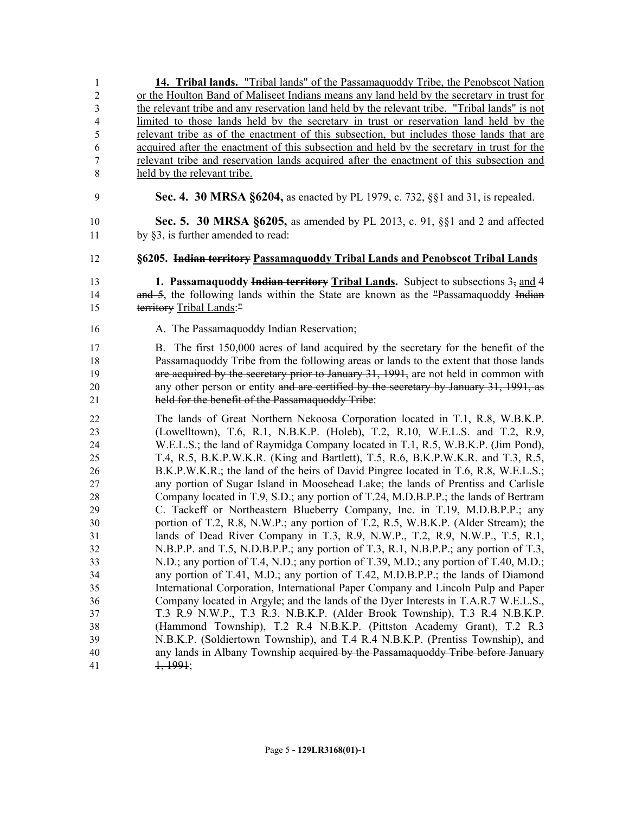**14. Tribal lands.** "Tribal lands" of the Passamaquoddy Tribe, the Penobscot Nation or the Houlton Band of Maliseet Indians means any land held by the secretary in trust for the relevant tribe and any reservation land held by the relevant tribe. "Tribal lands" is not limited to those lands held by the secretary in trust or reservation land held by the relevant tribe as of the enactment of this subsection, but includes those lands that are acquired after the enactment of this subsection and held by the secretary in trust for the relevant tribe and reservation lands acquired after the enactment of this subsection and held by the relevant tribe. **Sec. 4. 30 MRSA §6204,** as enacted by PL 1979, c. 732, §§1 and 31, is repealed.

 **Sec. 5. 30 MRSA §6205,** as amended by PL 2013, c. 91, §§1 and 2 and affected by §3, is further amended to read:

**§6205. Indian territory Passamaquoddy Tribal Lands and Penobscot Tribal Lands**

 **1. Passamaquoddy Indian territory Tribal Lands.** Subject to subsections 3, and 4 14 and 5, the following lands within the State are known as the "Passamaquoddy Indian territory Tribal Lands:"

**A.** The Passamaguoddy Indian Reservation;

 B. The first 150,000 acres of land acquired by the secretary for the benefit of the Passamaquoddy Tribe from the following areas or lands to the extent that those lands are acquired by the secretary prior to January 31, 1991, are not held in common with any other person or entity and are certified by the secretary by January 31, 1991, as held for the benefit of the Passamaquoddy Tribe:

 The lands of Great Northern Nekoosa Corporation located in T.1, R.8, W.B.K.P. (Lowelltown), T.6, R.1, N.B.K.P. (Holeb), T.2, R.10, W.E.L.S. and T.2, R.9, W.E.L.S.; the land of Raymidga Company located in T.1, R.5, W.B.K.P. (Jim Pond), T.4, R.5, B.K.P.W.K.R. (King and Bartlett), T.5, R.6, B.K.P.W.K.R. and T.3, R.5, B.K.P.W.K.R.; the land of the heirs of David Pingree located in T.6, R.8, W.E.L.S.; any portion of Sugar Island in Moosehead Lake; the lands of Prentiss and Carlisle Company located in T.9, S.D.; any portion of T.24, M.D.B.P.P.; the lands of Bertram C. Tackeff or Northeastern Blueberry Company, Inc. in T.19, M.D.B.P.P.; any portion of T.2, R.8, N.W.P.; any portion of T.2, R.5, W.B.K.P. (Alder Stream); the lands of Dead River Company in T.3, R.9, N.W.P., T.2, R.9, N.W.P., T.5, R.1, N.B.P.P. and T.5, N.D.B.P.P.; any portion of T.3, R.1, N.B.P.P.; any portion of T.3, N.D.; any portion of T.4, N.D.; any portion of T.39, M.D.; any portion of T.40, M.D.; any portion of T.41, M.D.; any portion of T.42, M.D.B.P.P.; the lands of Diamond International Corporation, International Paper Company and Lincoln Pulp and Paper Company located in Argyle; and the lands of the Dyer Interests in T.A.R.7 W.E.L.S., T.3 R.9 N.W.P., T.3 R.3. N.B.K.P. (Alder Brook Township), T.3 R.4 N.B.K.P. (Hammond Township), T.2 R.4 N.B.K.P. (Pittston Academy Grant), T.2 R.3 N.B.K.P. (Soldiertown Township), and T.4 R.4 N.B.K.P. (Prentiss Township), and any lands in Albany Township acquired by the Passamaquoddy Tribe before January 41 1, 1991;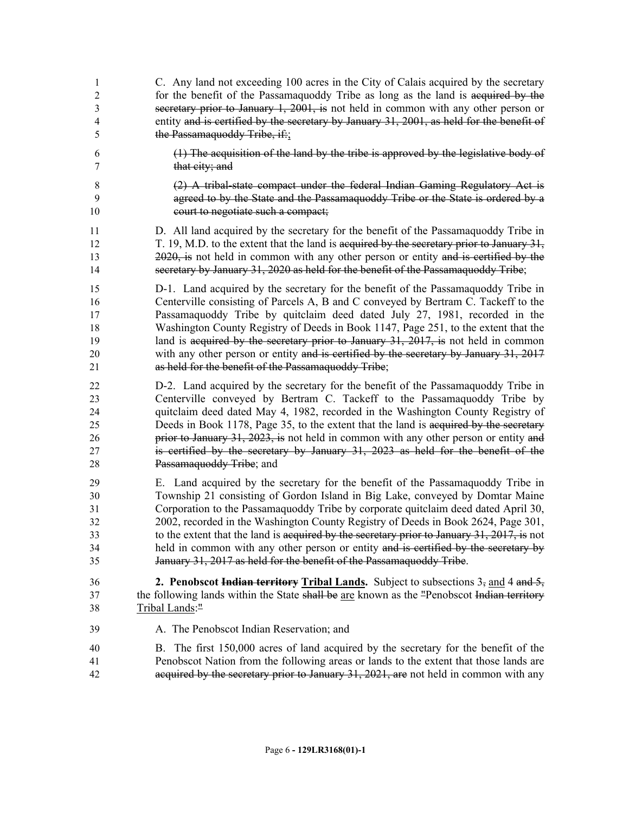| 1              | C. Any land not exceeding 100 acres in the City of Calais acquired by the secretary             |
|----------------|-------------------------------------------------------------------------------------------------|
| $\overline{c}$ | for the benefit of the Passamaguoddy Tribe as long as the land is acquired by the               |
| 3              | secretary prior to January 1, 2001, is not held in common with any other person or              |
| 4              | entity and is certified by the secretary by January 31, 2001, as held for the benefit of        |
| 5              | the Passamaquoddy Tribe, if:                                                                    |
| 6              | $(1)$ The acquisition of the land by the tribe is approved by the legislative body of           |
| 7              | that city; and                                                                                  |
| 8              | (2) A tribal-state compact under the federal Indian Gaming Regulatory Act is                    |
| 9              | agreed to by the State and the Passamaquoddy Tribe or the State is ordered by a                 |
| 10             | court to negotiate such a compact;                                                              |
| 11             | D. All land acquired by the secretary for the benefit of the Passamaguoddy Tribe in             |
| 12             | T. 19, M.D. to the extent that the land is acquired by the secretary prior to January $31$ ,    |
| 13             | 2020, is not held in common with any other person or entity and is certified by the             |
| 14             | secretary by January 31, 2020 as held for the benefit of the Passamaquoddy Tribe;               |
| 15             | D-1. Land acquired by the secretary for the benefit of the Passamaguoddy Tribe in               |
| 16             | Centerville consisting of Parcels A, B and C conveyed by Bertram C. Tackeff to the              |
| 17             | Passamaquoddy Tribe by quitclaim deed dated July 27, 1981, recorded in the                      |
| 18             | Washington County Registry of Deeds in Book 1147, Page 251, to the extent that the              |
| 19             | land is acquired by the secretary prior to January 31, 2017, is not held in common              |
| 20             | with any other person or entity and is certified by the secretary by January 31, 2017           |
| 21             | as held for the benefit of the Passamaquoddy Tribe;                                             |
| 22             | D-2. Land acquired by the secretary for the benefit of the Passamaquoddy Tribe in               |
| 23             | Centerville conveyed by Bertram C. Tackeff to the Passamaquoddy Tribe by                        |
| 24             | quitclaim deed dated May 4, 1982, recorded in the Washington County Registry of                 |
| 25             | Deeds in Book 1178, Page 35, to the extent that the land is acquired by the secretary           |
| 26             | prior to January 31, 2023, is not held in common with any other person or entity and            |
| 27             | is certified by the secretary by January 31, 2023 as held for the benefit of the                |
| 28             | Passamaquoddy Tribe; and                                                                        |
| 29             | E. Land acquired by the secretary for the benefit of the Passamaguoddy Tribe in                 |
| 30             | Township 21 consisting of Gordon Island in Big Lake, conveyed by Domtar Maine                   |
| 31             | Corporation to the Passamaguoddy Tribe by corporate quitclaim deed dated April 30,              |
| 32             | 2002, recorded in the Washington County Registry of Deeds in Book 2624, Page 301,               |
| 33             | to the extent that the land is acquired by the secretary prior to January $31, 2017$ , is not   |
| 34             | held in common with any other person or entity and is certified by the secretary by             |
| 35             | January 31, 2017 as held for the benefit of the Passamaquoddy Tribe.                            |
| 36             | <b>2. Penobscot Indian territory Tribal Lands.</b> Subject to subsections $3_5$ and 4 and $5_5$ |
| 37             | the following lands within the State shall be are known as the "Penobscot Indian territory"     |
| 38             | Tribal Lands:"                                                                                  |
| 39             | A. The Penobscot Indian Reservation; and                                                        |
| 40             | B. The first 150,000 acres of land acquired by the secretary for the benefit of the             |
| 41             | Penobscot Nation from the following areas or lands to the extent that those lands are           |
| 42             | acquired by the secretary prior to January 31, 2021, are not held in common with any            |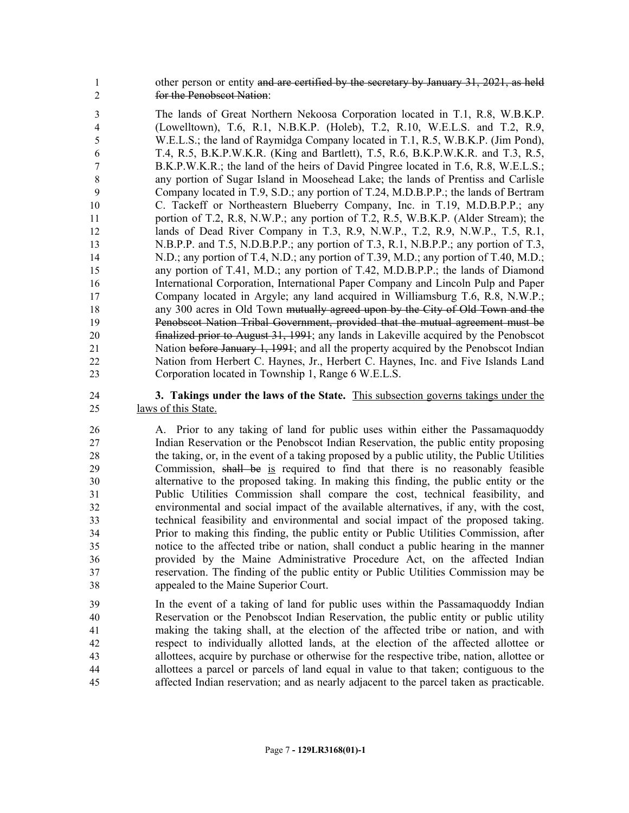1 other person or entity and are certified by the secretary by January 31, 2021, as held for the Penobscot Nation:

 The lands of Great Northern Nekoosa Corporation located in T.1, R.8, W.B.K.P. (Lowelltown), T.6, R.1, N.B.K.P. (Holeb), T.2, R.10, W.E.L.S. and T.2, R.9, W.E.L.S.; the land of Raymidga Company located in T.1, R.5, W.B.K.P. (Jim Pond), T.4, R.5, B.K.P.W.K.R. (King and Bartlett), T.5, R.6, B.K.P.W.K.R. and T.3, R.5, B.K.P.W.K.R.; the land of the heirs of David Pingree located in T.6, R.8, W.E.L.S.; any portion of Sugar Island in Moosehead Lake; the lands of Prentiss and Carlisle Company located in T.9, S.D.; any portion of T.24, M.D.B.P.P.; the lands of Bertram C. Tackeff or Northeastern Blueberry Company, Inc. in T.19, M.D.B.P.P.; any portion of T.2, R.8, N.W.P.; any portion of T.2, R.5, W.B.K.P. (Alder Stream); the lands of Dead River Company in T.3, R.9, N.W.P., T.2, R.9, N.W.P., T.5, R.1, 13 N.B.P.P. and T.5, N.D.B.P.P.; any portion of T.3, R.1, N.B.P.P.; any portion of T.3, N.D.; any portion of T.4, N.D.; any portion of T.39, M.D.; any portion of T.40, M.D.; any portion of T.41, M.D.; any portion of T.42, M.D.B.P.P.; the lands of Diamond International Corporation, International Paper Company and Lincoln Pulp and Paper Company located in Argyle; any land acquired in Williamsburg T.6, R.8, N.W.P.; 18 any 300 acres in Old Town <del>mutually agreed upon by the City of Old Town and the</del> Penobscot Nation Tribal Government, provided that the mutual agreement must be finalized prior to August 31, 1991; any lands in Lakeville acquired by the Penobscot 21 Nation before January 1, 1991; and all the property acquired by the Penobscot Indian Nation from Herbert C. Haynes, Jr., Herbert C. Haynes, Inc. and Five Islands Land Corporation located in Township 1, Range 6 W.E.L.S.

 **3. Takings under the laws of the State.** This subsection governs takings under the laws of this State.

 A. Prior to any taking of land for public uses within either the Passamaquoddy Indian Reservation or the Penobscot Indian Reservation, the public entity proposing the taking, or, in the event of a taking proposed by a public utility, the Public Utilities Commission, shall be is required to find that there is no reasonably feasible alternative to the proposed taking. In making this finding, the public entity or the Public Utilities Commission shall compare the cost, technical feasibility, and environmental and social impact of the available alternatives, if any, with the cost, technical feasibility and environmental and social impact of the proposed taking. Prior to making this finding, the public entity or Public Utilities Commission, after notice to the affected tribe or nation, shall conduct a public hearing in the manner provided by the Maine Administrative Procedure Act, on the affected Indian reservation. The finding of the public entity or Public Utilities Commission may be appealed to the Maine Superior Court.

 In the event of a taking of land for public uses within the Passamaquoddy Indian Reservation or the Penobscot Indian Reservation, the public entity or public utility making the taking shall, at the election of the affected tribe or nation, and with respect to individually allotted lands, at the election of the affected allottee or allottees, acquire by purchase or otherwise for the respective tribe, nation, allottee or allottees a parcel or parcels of land equal in value to that taken; contiguous to the affected Indian reservation; and as nearly adjacent to the parcel taken as practicable.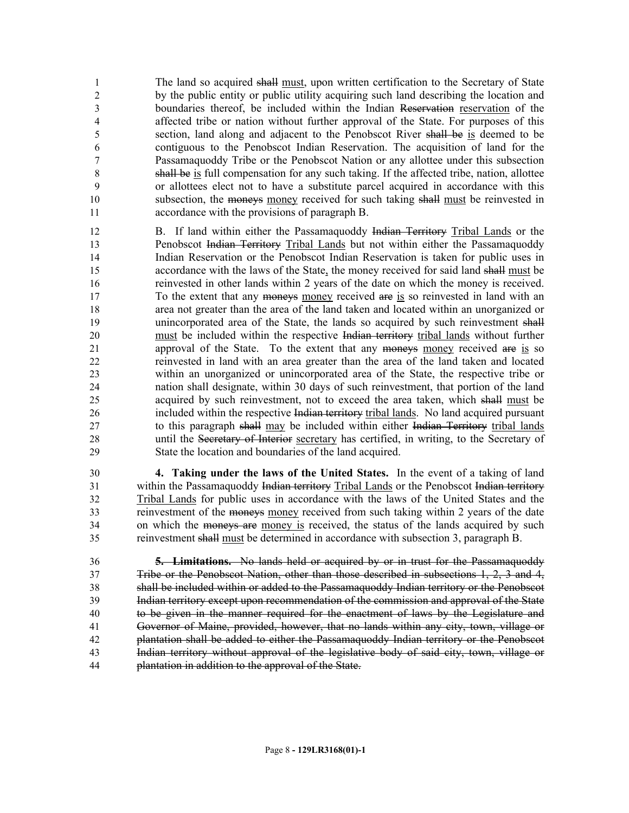The land so acquired shall must, upon written certification to the Secretary of State by the public entity or public utility acquiring such land describing the location and boundaries thereof, be included within the Indian Reservation reservation of the affected tribe or nation without further approval of the State. For purposes of this section, land along and adjacent to the Penobscot River shall be is deemed to be contiguous to the Penobscot Indian Reservation. The acquisition of land for the Passamaquoddy Tribe or the Penobscot Nation or any allottee under this subsection shall be is full compensation for any such taking. If the affected tribe, nation, allottee or allottees elect not to have a substitute parcel acquired in accordance with this 10 subsection, the moneys money received for such taking shall must be reinvested in accordance with the provisions of paragraph B.

 B. If land within either the Passamaquoddy Indian Territory Tribal Lands or the Penobscot Indian Territory Tribal Lands but not within either the Passamaquoddy Indian Reservation or the Penobscot Indian Reservation is taken for public uses in accordance with the laws of the State, the money received for said land shall must be reinvested in other lands within 2 years of the date on which the money is received. To the extent that any moneys money received are is so reinvested in land with an area not greater than the area of the land taken and located within an unorganized or 19 unincorporated area of the State, the lands so acquired by such reinvestment shall must be included within the respective Indian territory tribal lands without further approval of the State. To the extent that any moneys money received are is so reinvested in land with an area greater than the area of the land taken and located within an unorganized or unincorporated area of the State, the respective tribe or nation shall designate, within 30 days of such reinvestment, that portion of the land acquired by such reinvestment, not to exceed the area taken, which shall must be included within the respective Indian territory tribal lands. No land acquired pursuant 27 to this paragraph shall may be included within either Indian Territory tribal lands 28 until the Secretary of Interior secretary has certified, in writing, to the Secretary of State the location and boundaries of the land acquired.

 **4. Taking under the laws of the United States.** In the event of a taking of land 31 within the Passamaquoddy Indian territory Tribal Lands or the Penobscot Indian territory Tribal Lands for public uses in accordance with the laws of the United States and the reinvestment of the moneys money received from such taking within 2 years of the date 34 on which the moneys are money is received, the status of the lands acquired by such reinvestment shall must be determined in accordance with subsection 3, paragraph B.

 **5. Limitations.** No lands held or acquired by or in trust for the Passamaquoddy Tribe or the Penobscot Nation, other than those described in subsections 1, 2, 3 and 4, shall be included within or added to the Passamaquoddy Indian territory or the Penobscot Indian territory except upon recommendation of the commission and approval of the State to be given in the manner required for the enactment of laws by the Legislature and Governor of Maine, provided, however, that no lands within any city, town, village or plantation shall be added to either the Passamaquoddy Indian territory or the Penobscot Indian territory without approval of the legislative body of said city, town, village or plantation in addition to the approval of the State.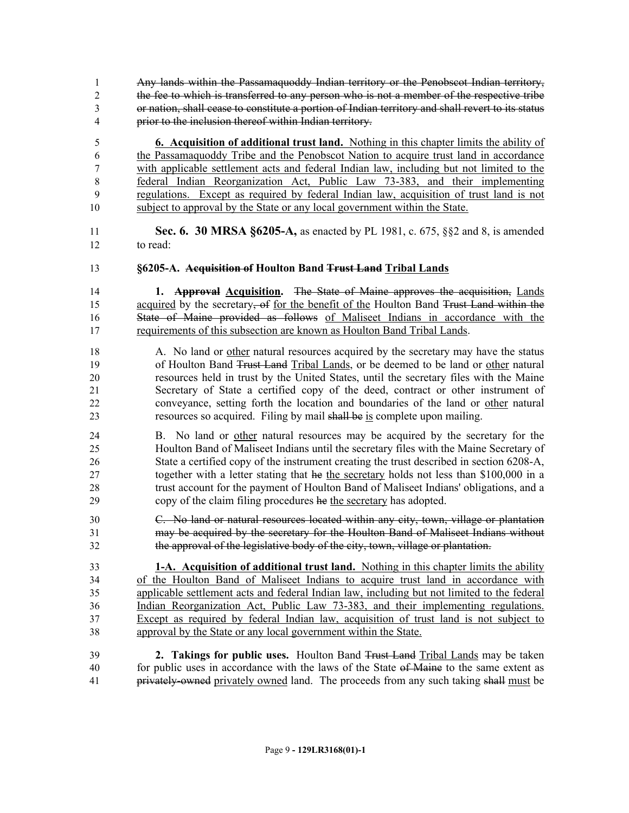Any lands within the Passamaquoddy Indian territory or the Penobscot Indian territory, the fee to which is transferred to any person who is not a member of the respective tribe or nation, shall cease to constitute a portion of Indian territory and shall revert to its status prior to the inclusion thereof within Indian territory.

 **6. Acquisition of additional trust land.** Nothing in this chapter limits the ability of the Passamaquoddy Tribe and the Penobscot Nation to acquire trust land in accordance with applicable settlement acts and federal Indian law, including but not limited to the federal Indian Reorganization Act, Public Law 73-383, and their implementing regulations. Except as required by federal Indian law, acquisition of trust land is not subject to approval by the State or any local government within the State.

 **Sec. 6. 30 MRSA §6205-A,** as enacted by PL 1981, c. 675, §§2 and 8, is amended to read:

**§6205-A. Acquisition of Houlton Band Trust Land Tribal Lands**

 **1. Approval Acquisition.** The State of Maine approves the acquisition, Lands 15 acquired by the secretary, of for the benefit of the Houlton Band Trust Land within the State of Maine provided as follows of Maliseet Indians in accordance with the requirements of this subsection are known as Houlton Band Tribal Lands.

- A. No land or other natural resources acquired by the secretary may have the status of Houlton Band Trust Land Tribal Lands, or be deemed to be land or other natural resources held in trust by the United States, until the secretary files with the Maine Secretary of State a certified copy of the deed, contract or other instrument of conveyance, setting forth the location and boundaries of the land or other natural 23 resources so acquired. Filing by mail shall be is complete upon mailing.
- B. No land or other natural resources may be acquired by the secretary for the Houlton Band of Maliseet Indians until the secretary files with the Maine Secretary of State a certified copy of the instrument creating the trust described in section 6208-A, together with a letter stating that he the secretary holds not less than \$100,000 in a trust account for the payment of Houlton Band of Maliseet Indians' obligations, and a copy of the claim filing procedures he the secretary has adopted.
- C. No land or natural resources located within any city, town, village or plantation may be acquired by the secretary for the Houlton Band of Maliseet Indians without the approval of the legislative body of the city, town, village or plantation.

 **1-A. Acquisition of additional trust land.** Nothing in this chapter limits the ability of the Houlton Band of Maliseet Indians to acquire trust land in accordance with applicable settlement acts and federal Indian law, including but not limited to the federal Indian Reorganization Act, Public Law 73-383, and their implementing regulations. Except as required by federal Indian law, acquisition of trust land is not subject to approval by the State or any local government within the State.

 **2. Takings for public uses.** Houlton Band Trust Land Tribal Lands may be taken 40 for public uses in accordance with the laws of the State of Maine to the same extent as privately-owned privately owned land. The proceeds from any such taking shall must be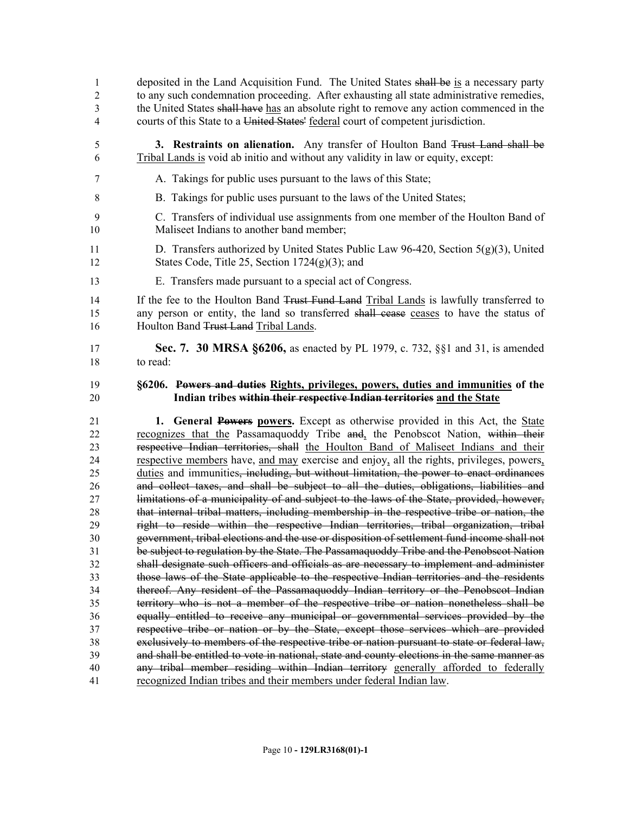- 1 deposited in the Land Acquisition Fund. The United States shall be is a necessary party to any such condemnation proceeding. After exhausting all state administrative remedies, the United States shall have has an absolute right to remove any action commenced in the courts of this State to a United States' federal court of competent jurisdiction.
- **3. Restraints on alienation.** Any transfer of Houlton Band Trust Land shall be Tribal Lands is void ab initio and without any validity in law or equity, except:
- A. Takings for public uses pursuant to the laws of this State;
- B. Takings for public uses pursuant to the laws of the United States;
- C. Transfers of individual use assignments from one member of the Houlton Band of Maliseet Indians to another band member;
- 11 D. Transfers authorized by United States Public Law 96-420, Section  $5(g)(3)$ , United States Code, Title 25, Section 1724(g)(3); and
- E. Transfers made pursuant to a special act of Congress.

14 If the fee to the Houlton Band Trust Fund Land Tribal Lands is lawfully transferred to any person or entity, the land so transferred shall cease ceases to have the status of 16 Houlton Band Trust Land Tribal Lands.

 **Sec. 7. 30 MRSA §6206,** as enacted by PL 1979, c. 732, §§1 and 31, is amended to read:

#### **§6206. Powers and duties Rights, privileges, powers, duties and immunities of the Indian tribes within their respective Indian territories and the State**

 **1. General Powers powers.** Except as otherwise provided in this Act, the State 22 recognizes that the Passamaquoddy Tribe and, the Penobscot Nation, within their respective Indian territories, shall the Houlton Band of Maliseet Indians and their respective members have, and may exercise and enjoy, all the rights, privileges, powers, duties and immunities, including, but without limitation, the power to enact ordinances and collect taxes, and shall be subject to all the duties, obligations, liabilities and limitations of a municipality of and subject to the laws of the State, provided, however, that internal tribal matters, including membership in the respective tribe or nation, the right to reside within the respective Indian territories, tribal organization, tribal government, tribal elections and the use or disposition of settlement fund income shall not be subject to regulation by the State. The Passamaquoddy Tribe and the Penobscot Nation shall designate such officers and officials as are necessary to implement and administer those laws of the State applicable to the respective Indian territories and the residents thereof. Any resident of the Passamaquoddy Indian territory or the Penobscot Indian territory who is not a member of the respective tribe or nation nonetheless shall be equally entitled to receive any municipal or governmental services provided by the respective tribe or nation or by the State, except those services which are provided exclusively to members of the respective tribe or nation pursuant to state or federal law, and shall be entitled to vote in national, state and county elections in the same manner as any tribal member residing within Indian territory generally afforded to federally recognized Indian tribes and their members under federal Indian law.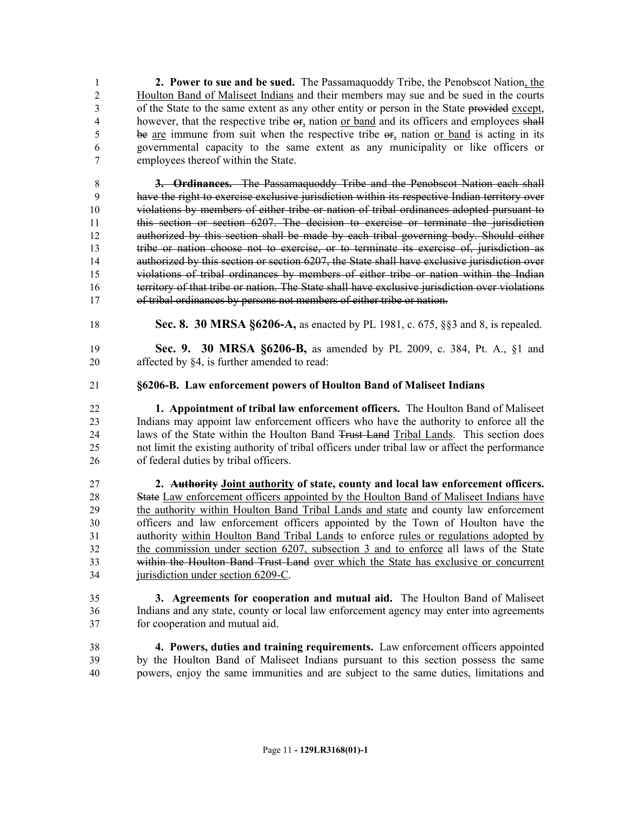**2. Power to sue and be sued.** The Passamaquoddy Tribe, the Penobscot Nation, the Houlton Band of Maliseet Indians and their members may sue and be sued in the courts of the State to the same extent as any other entity or person in the State provided except, 4 however, that the respective tribe  $\Theta$ <sub>r</sub>, nation or band and its officers and employees shall be are immune from suit when the respective tribe or, nation or band is acting in its governmental capacity to the same extent as any municipality or like officers or employees thereof within the State.

 **3. Ordinances.** The Passamaquoddy Tribe and the Penobscot Nation each shall have the right to exercise exclusive jurisdiction within its respective Indian territory over violations by members of either tribe or nation of tribal ordinances adopted pursuant to this section or section 6207. The decision to exercise or terminate the jurisdiction authorized by this section shall be made by each tribal governing body. Should either tribe or nation choose not to exercise, or to terminate its exercise of, jurisdiction as 14 authorized by this section or section 6207, the State shall have exclusive jurisdiction over violations of tribal ordinances by members of either tribe or nation within the Indian territory of that tribe or nation. The State shall have exclusive jurisdiction over violations 17 of tribal ordinances by persons not members of either tribe or nation.

- **Sec. 8. 30 MRSA §6206-A,** as enacted by PL 1981, c. 675, §§3 and 8, is repealed.
- **Sec. 9. 30 MRSA §6206-B,** as amended by PL 2009, c. 384, Pt. A., §1 and affected by §4, is further amended to read:
- **§6206-B. Law enforcement powers of Houlton Band of Maliseet Indians**
- **1. Appointment of tribal law enforcement officers.** The Houlton Band of Maliseet Indians may appoint law enforcement officers who have the authority to enforce all the laws of the State within the Houlton Band Trust Land Tribal Lands. This section does not limit the existing authority of tribal officers under tribal law or affect the performance of federal duties by tribal officers.
- **2. Authority Joint authority of state, county and local law enforcement officers.**  28 State Law enforcement officers appointed by the Houlton Band of Maliseet Indians have the authority within Houlton Band Tribal Lands and state and county law enforcement officers and law enforcement officers appointed by the Town of Houlton have the authority within Houlton Band Tribal Lands to enforce rules or regulations adopted by the commission under section 6207, subsection 3 and to enforce all laws of the State within the Houlton Band Trust Land over which the State has exclusive or concurrent 34 jurisdiction under section 6209-C.
- **3. Agreements for cooperation and mutual aid.** The Houlton Band of Maliseet Indians and any state, county or local law enforcement agency may enter into agreements for cooperation and mutual aid.
- **4. Powers, duties and training requirements.** Law enforcement officers appointed by the Houlton Band of Maliseet Indians pursuant to this section possess the same powers, enjoy the same immunities and are subject to the same duties, limitations and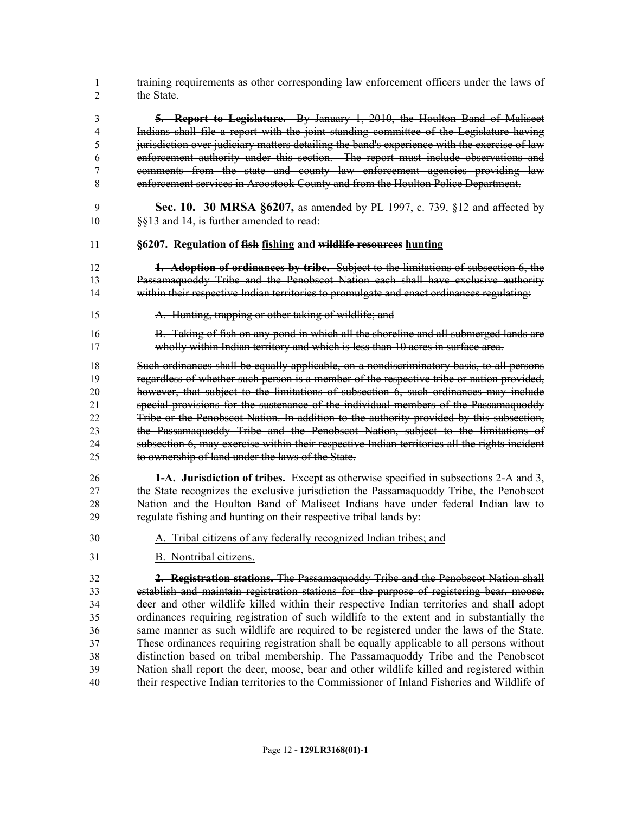training requirements as other corresponding law enforcement officers under the laws of the State.

 **5. Report to Legislature.** By January 1, 2010, the Houlton Band of Maliseet Indians shall file a report with the joint standing committee of the Legislature having jurisdiction over judiciary matters detailing the band's experience with the exercise of law enforcement authority under this section. The report must include observations and comments from the state and county law enforcement agencies providing law enforcement services in Aroostook County and from the Houlton Police Department.

- **Sec. 10. 30 MRSA §6207,** as amended by PL 1997, c. 739, §12 and affected by §§13 and 14, is further amended to read:
- **§6207. Regulation of fish fishing and wildlife resources hunting**
- **1. Adoption of ordinances by tribe.** Subject to the limitations of subsection 6, the Passamaquoddy Tribe and the Penobscot Nation each shall have exclusive authority 14 within their respective Indian territories to promulgate and enact ordinances regulating:
- A. Hunting, trapping or other taking of wildlife; and
- B. Taking of fish on any pond in which all the shoreline and all submerged lands are wholly within Indian territory and which is less than 10 acres in surface area.

 Such ordinances shall be equally applicable, on a nondiscriminatory basis, to all persons regardless of whether such person is a member of the respective tribe or nation provided, however, that subject to the limitations of subsection 6, such ordinances may include special provisions for the sustenance of the individual members of the Passamaquoddy Tribe or the Penobscot Nation. In addition to the authority provided by this subsection, the Passamaquoddy Tribe and the Penobscot Nation, subject to the limitations of subsection 6, may exercise within their respective Indian territories all the rights incident to ownership of land under the laws of the State.

- **1-A. Jurisdiction of tribes.** Except as otherwise specified in subsections 2-A and 3, the State recognizes the exclusive jurisdiction the Passamaquoddy Tribe, the Penobscot Nation and the Houlton Band of Maliseet Indians have under federal Indian law to regulate fishing and hunting on their respective tribal lands by:
- A. Tribal citizens of any federally recognized Indian tribes; and
- B. Nontribal citizens.

 **2. Registration stations.** The Passamaquoddy Tribe and the Penobscot Nation shall establish and maintain registration stations for the purpose of registering bear, moose, deer and other wildlife killed within their respective Indian territories and shall adopt ordinances requiring registration of such wildlife to the extent and in substantially the same manner as such wildlife are required to be registered under the laws of the State. These ordinances requiring registration shall be equally applicable to all persons without distinction based on tribal membership. The Passamaquoddy Tribe and the Penobscot Nation shall report the deer, moose, bear and other wildlife killed and registered within their respective Indian territories to the Commissioner of Inland Fisheries and Wildlife of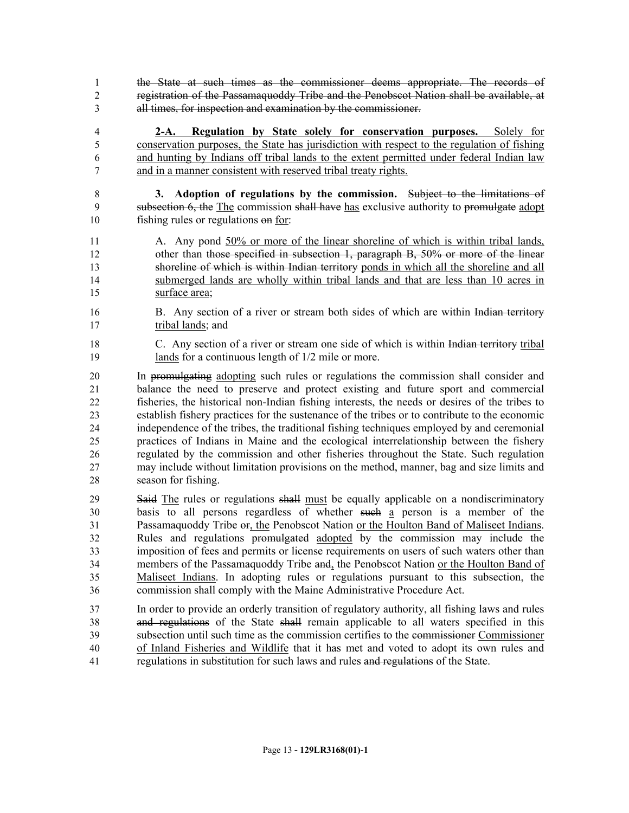the State at such times as the commissioner deems appropriate. The records of registration of the Passamaquoddy Tribe and the Penobscot Nation shall be available, at all times, for inspection and examination by the commissioner.

 **2-A. Regulation by State solely for conservation purposes.** Solely for conservation purposes, the State has jurisdiction with respect to the regulation of fishing and hunting by Indians off tribal lands to the extent permitted under federal Indian law and in a manner consistent with reserved tribal treaty rights.

 **3. Adoption of regulations by the commission.** Subject to the limitations of subsection 6, the The commission shall have has exclusive authority to promulgate adopt fishing rules or regulations on for:

 A. Any pond 50% or more of the linear shoreline of which is within tribal lands, 12 other than those specified in subsection 1, paragraph B, 50% or more of the linear shoreline of which is within Indian territory ponds in which all the shoreline and all submerged lands are wholly within tribal lands and that are less than 10 acres in surface area;

- 16 B. Any section of a river or stream both sides of which are within Indian territory 17 tribal lands; and
- 18 C. Any section of a river or stream one side of which is within Indian territory tribal 19 lands for a continuous length of  $1/2$  mile or more.

 In promulgating adopting such rules or regulations the commission shall consider and balance the need to preserve and protect existing and future sport and commercial fisheries, the historical non-Indian fishing interests, the needs or desires of the tribes to establish fishery practices for the sustenance of the tribes or to contribute to the economic independence of the tribes, the traditional fishing techniques employed by and ceremonial practices of Indians in Maine and the ecological interrelationship between the fishery regulated by the commission and other fisheries throughout the State. Such regulation may include without limitation provisions on the method, manner, bag and size limits and season for fishing.

29 Said The rules or regulations shall must be equally applicable on a nondiscriminatory basis to all persons regardless of whether such a person is a member of the 31 Passamaquoddy Tribe or, the Penobscot Nation or the Houlton Band of Maliseet Indians. Rules and regulations promulgated adopted by the commission may include the imposition of fees and permits or license requirements on users of such waters other than 34 members of the Passamaquoddy Tribe and, the Penobscot Nation or the Houlton Band of Maliseet Indians. In adopting rules or regulations pursuant to this subsection, the commission shall comply with the Maine Administrative Procedure Act.

 In order to provide an orderly transition of regulatory authority, all fishing laws and rules and regulations of the State shall remain applicable to all waters specified in this subsection until such time as the commission certifies to the commissioner Commissioner of Inland Fisheries and Wildlife that it has met and voted to adopt its own rules and regulations in substitution for such laws and rules and regulations of the State.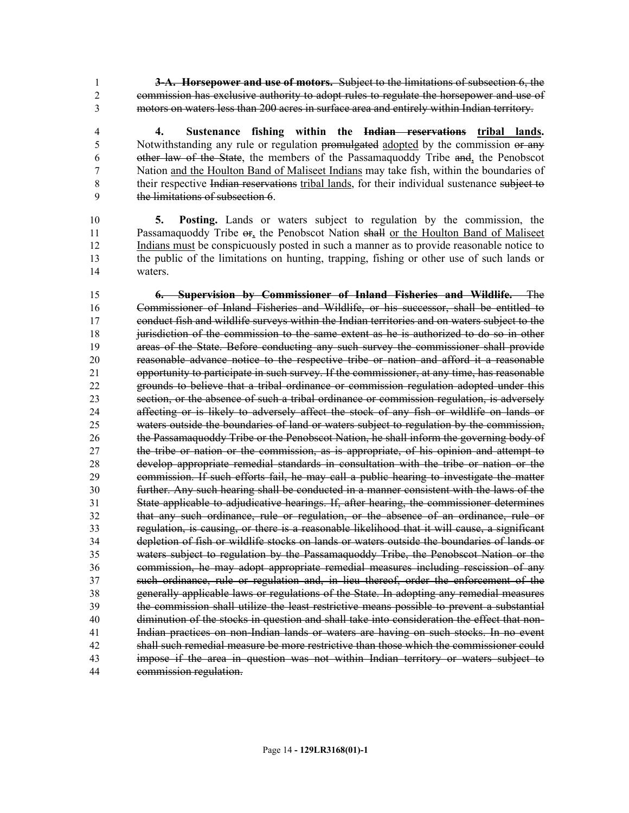**3-A. Horsepower and use of motors.** Subject to the limitations of subsection 6, the commission has exclusive authority to adopt rules to regulate the horsepower and use of motors on waters less than 200 acres in surface area and entirely within Indian territory.

 **4. Sustenance fishing within the Indian reservations tribal lands.** 5 Notwithstanding any rule or regulation promulgated adopted by the commission or any other law of the State, the members of the Passamaquoddy Tribe and, the Penobscot Nation and the Houlton Band of Maliseet Indians may take fish, within the boundaries of 8 their respective Indian reservations tribal lands, for their individual sustenance subject to the limitations of subsection 6.

 **5. Posting.** Lands or waters subject to regulation by the commission, the Passamaquoddy Tribe or, the Penobscot Nation shall or the Houlton Band of Maliseet Indians must be conspicuously posted in such a manner as to provide reasonable notice to the public of the limitations on hunting, trapping, fishing or other use of such lands or waters.

 **6. Supervision by Commissioner of Inland Fisheries and Wildlife.** The Commissioner of Inland Fisheries and Wildlife, or his successor, shall be entitled to conduct fish and wildlife surveys within the Indian territories and on waters subject to the jurisdiction of the commission to the same extent as he is authorized to do so in other areas of the State. Before conducting any such survey the commissioner shall provide reasonable advance notice to the respective tribe or nation and afford it a reasonable 21 opportunity to participate in such survey. If the commissioner, at any time, has reasonable grounds to believe that a tribal ordinance or commission regulation adopted under this section, or the absence of such a tribal ordinance or commission regulation, is adversely affecting or is likely to adversely affect the stock of any fish or wildlife on lands or waters outside the boundaries of land or waters subject to regulation by the commission, the Passamaquoddy Tribe or the Penobscot Nation, he shall inform the governing body of the tribe or nation or the commission, as is appropriate, of his opinion and attempt to develop appropriate remedial standards in consultation with the tribe or nation or the commission. If such efforts fail, he may call a public hearing to investigate the matter further. Any such hearing shall be conducted in a manner consistent with the laws of the State applicable to adjudicative hearings. If, after hearing, the commissioner determines that any such ordinance, rule or regulation, or the absence of an ordinance, rule or regulation, is causing, or there is a reasonable likelihood that it will cause, a significant depletion of fish or wildlife stocks on lands or waters outside the boundaries of lands or waters subject to regulation by the Passamaquoddy Tribe, the Penobscot Nation or the commission, he may adopt appropriate remedial measures including rescission of any such ordinance, rule or regulation and, in lieu thereof, order the enforcement of the generally applicable laws or regulations of the State. In adopting any remedial measures the commission shall utilize the least restrictive means possible to prevent a substantial diminution of the stocks in question and shall take into consideration the effect that non- Indian practices on non-Indian lands or waters are having on such stocks. In no event shall such remedial measure be more restrictive than those which the commissioner could impose if the area in question was not within Indian territory or waters subject to commission regulation.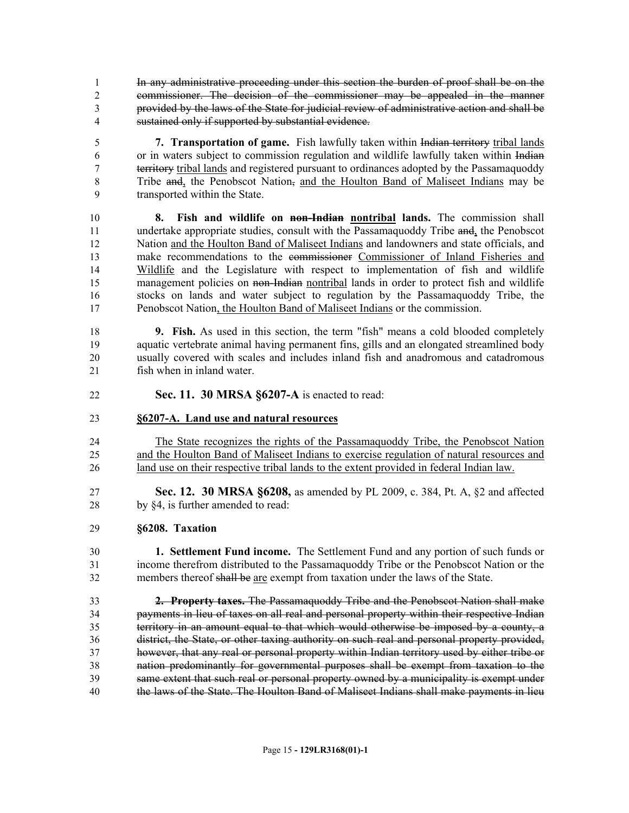- In any administrative proceeding under this section the burden of proof shall be on the commissioner. The decision of the commissioner may be appealed in the manner provided by the laws of the State for judicial review of administrative action and shall be sustained only if supported by substantial evidence.
- **7. Transportation of game.** Fish lawfully taken within Indian territory tribal lands or in waters subject to commission regulation and wildlife lawfully taken within Indian territory tribal lands and registered pursuant to ordinances adopted by the Passamaquoddy Tribe and, the Penobscot Nation, and the Houlton Band of Maliseet Indians may be transported within the State.
- **8. Fish and wildlife on non-Indian nontribal lands.** The commission shall 11 undertake appropriate studies, consult with the Passamaquoddy Tribe and, the Penobscot Nation and the Houlton Band of Maliseet Indians and landowners and state officials, and make recommendations to the commissioner Commissioner of Inland Fisheries and Wildlife and the Legislature with respect to implementation of fish and wildlife management policies on non-Indian nontribal lands in order to protect fish and wildlife stocks on lands and water subject to regulation by the Passamaquoddy Tribe, the Penobscot Nation, the Houlton Band of Maliseet Indians or the commission.
- **9. Fish.** As used in this section, the term "fish" means a cold blooded completely aquatic vertebrate animal having permanent fins, gills and an elongated streamlined body usually covered with scales and includes inland fish and anadromous and catadromous fish when in inland water.
- **Sec. 11. 30 MRSA §6207-A** is enacted to read:

### **§6207-A. Land use and natural resources**

- The State recognizes the rights of the Passamaquoddy Tribe, the Penobscot Nation and the Houlton Band of Maliseet Indians to exercise regulation of natural resources and land use on their respective tribal lands to the extent provided in federal Indian law.
- **Sec. 12. 30 MRSA §6208,** as amended by PL 2009, c. 384, Pt. A, §2 and affected 28 by §4, is further amended to read:
- **§6208. Taxation**
- **1. Settlement Fund income.** The Settlement Fund and any portion of such funds or income therefrom distributed to the Passamaquoddy Tribe or the Penobscot Nation or the members thereof shall be are exempt from taxation under the laws of the State.
- **2. Property taxes.** The Passamaquoddy Tribe and the Penobscot Nation shall make payments in lieu of taxes on all real and personal property within their respective Indian territory in an amount equal to that which would otherwise be imposed by a county, a district, the State, or other taxing authority on such real and personal property provided, however, that any real or personal property within Indian territory used by either tribe or nation predominantly for governmental purposes shall be exempt from taxation to the same extent that such real or personal property owned by a municipality is exempt under the laws of the State. The Houlton Band of Maliseet Indians shall make payments in lieu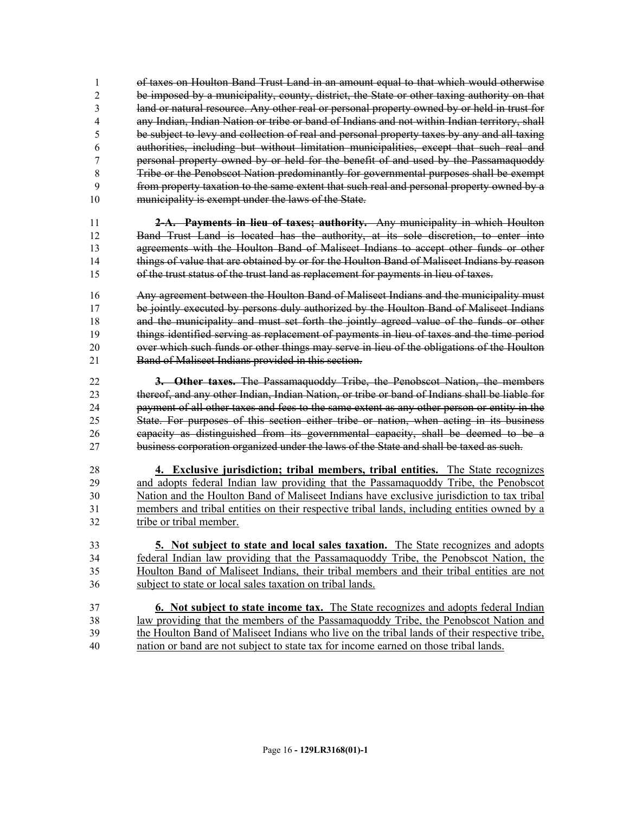of taxes on Houlton Band Trust Land in an amount equal to that which would otherwise be imposed by a municipality, county, district, the State or other taxing authority on that land or natural resource. Any other real or personal property owned by or held in trust for any Indian, Indian Nation or tribe or band of Indians and not within Indian territory, shall be subject to levy and collection of real and personal property taxes by any and all taxing authorities, including but without limitation municipalities, except that such real and personal property owned by or held for the benefit of and used by the Passamaquoddy Tribe or the Penobscot Nation predominantly for governmental purposes shall be exempt from property taxation to the same extent that such real and personal property owned by a 10 municipality is exempt under the laws of the State.

 **2-A. Payments in lieu of taxes; authority.** Any municipality in which Houlton Band Trust Land is located has the authority, at its sole discretion, to enter into agreements with the Houlton Band of Maliseet Indians to accept other funds or other things of value that are obtained by or for the Houlton Band of Maliseet Indians by reason of the trust status of the trust land as replacement for payments in lieu of taxes.

 Any agreement between the Houlton Band of Maliseet Indians and the municipality must be jointly executed by persons duly authorized by the Houlton Band of Maliseet Indians 18 and the municipality and must set forth the jointly agreed value of the funds or other things identified serving as replacement of payments in lieu of taxes and the time period over which such funds or other things may serve in lieu of the obligations of the Houlton Band of Maliseet Indians provided in this section.

 **3. Other taxes.** The Passamaquoddy Tribe, the Penobscot Nation, the members thereof, and any other Indian, Indian Nation, or tribe or band of Indians shall be liable for payment of all other taxes and fees to the same extent as any other person or entity in the State. For purposes of this section either tribe or nation, when acting in its business capacity as distinguished from its governmental capacity, shall be deemed to be a business corporation organized under the laws of the State and shall be taxed as such.

 **4. Exclusive jurisdiction; tribal members, tribal entities.** The State recognizes and adopts federal Indian law providing that the Passamaquoddy Tribe, the Penobscot Nation and the Houlton Band of Maliseet Indians have exclusive jurisdiction to tax tribal members and tribal entities on their respective tribal lands, including entities owned by a tribe or tribal member.

 **5. Not subject to state and local sales taxation.** The State recognizes and adopts federal Indian law providing that the Passamaquoddy Tribe, the Penobscot Nation, the Houlton Band of Maliseet Indians, their tribal members and their tribal entities are not subject to state or local sales taxation on tribal lands.

 **6. Not subject to state income tax.** The State recognizes and adopts federal Indian law providing that the members of the Passamaquoddy Tribe, the Penobscot Nation and the Houlton Band of Maliseet Indians who live on the tribal lands of their respective tribe, nation or band are not subject to state tax for income earned on those tribal lands.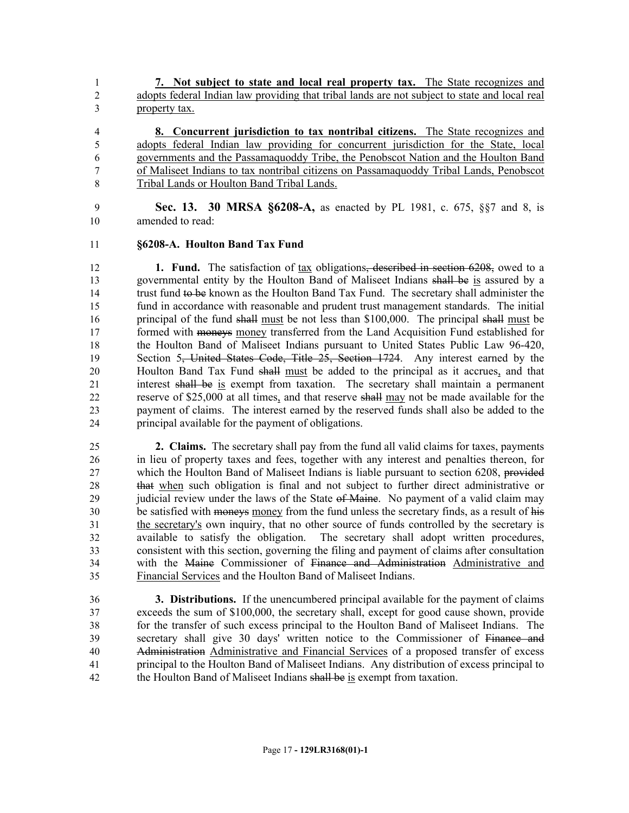**7. Not subject to state and local real property tax.** The State recognizes and adopts federal Indian law providing that tribal lands are not subject to state and local real property tax.

 **8. Concurrent jurisdiction to tax nontribal citizens.** The State recognizes and adopts federal Indian law providing for concurrent jurisdiction for the State, local governments and the Passamaquoddy Tribe, the Penobscot Nation and the Houlton Band of Maliseet Indians to tax nontribal citizens on Passamaquoddy Tribal Lands, Penobscot Tribal Lands or Houlton Band Tribal Lands.

 **Sec. 13. 30 MRSA §6208-A,** as enacted by PL 1981, c. 675, §§7 and 8, is amended to read:

#### **§6208-A. Houlton Band Tax Fund**

 **1. Fund.** The satisfaction of tax obligations, described in section 6208, owed to a governmental entity by the Houlton Band of Maliseet Indians shall be is assured by a trust fund to be known as the Houlton Band Tax Fund. The secretary shall administer the fund in accordance with reasonable and prudent trust management standards. The initial principal of the fund shall must be not less than \$100,000. The principal shall must be formed with moneys money transferred from the Land Acquisition Fund established for the Houlton Band of Maliseet Indians pursuant to United States Public Law 96-420, 19 Section 5, United States Code, Title 25, Section 1724. Any interest earned by the Houlton Band Tax Fund shall must be added to the principal as it accrues, and that interest shall be is exempt from taxation. The secretary shall maintain a permanent reserve of \$25,000 at all times, and that reserve shall may not be made available for the payment of claims. The interest earned by the reserved funds shall also be added to the principal available for the payment of obligations.

 **2. Claims.** The secretary shall pay from the fund all valid claims for taxes, payments in lieu of property taxes and fees, together with any interest and penalties thereon, for which the Houlton Band of Maliseet Indians is liable pursuant to section 6208, provided that when such obligation is final and not subject to further direct administrative or 29 judicial review under the laws of the State of Maine. No payment of a valid claim may be satisfied with moneys money from the fund unless the secretary finds, as a result of his the secretary's own inquiry, that no other source of funds controlled by the secretary is available to satisfy the obligation. The secretary shall adopt written procedures, consistent with this section, governing the filing and payment of claims after consultation with the Maine Commissioner of Finance and Administration Administrative and Financial Services and the Houlton Band of Maliseet Indians.

 **3. Distributions.** If the unencumbered principal available for the payment of claims exceeds the sum of \$100,000, the secretary shall, except for good cause shown, provide for the transfer of such excess principal to the Houlton Band of Maliseet Indians. The secretary shall give 30 days' written notice to the Commissioner of Finance and Administration Administrative and Financial Services of a proposed transfer of excess principal to the Houlton Band of Maliseet Indians. Any distribution of excess principal to 42 the Houlton Band of Maliseet Indians shall be is exempt from taxation.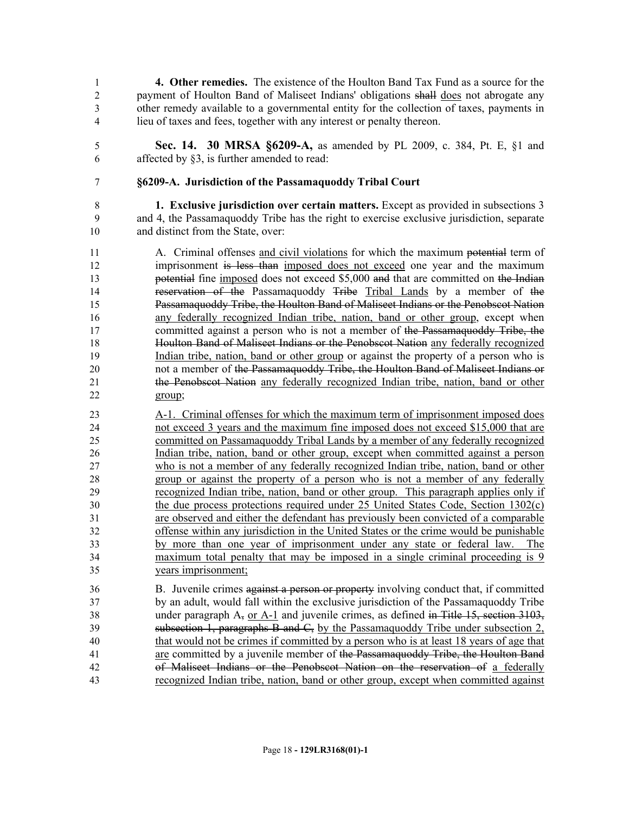**4. Other remedies.** The existence of the Houlton Band Tax Fund as a source for the payment of Houlton Band of Maliseet Indians' obligations shall does not abrogate any other remedy available to a governmental entity for the collection of taxes, payments in lieu of taxes and fees, together with any interest or penalty thereon.

 **Sec. 14. 30 MRSA §6209-A,** as amended by PL 2009, c. 384, Pt. E, §1 and affected by §3, is further amended to read:

## **§6209-A. Jurisdiction of the Passamaquoddy Tribal Court**

 **1. Exclusive jurisdiction over certain matters.** Except as provided in subsections 3 and 4, the Passamaquoddy Tribe has the right to exercise exclusive jurisdiction, separate and distinct from the State, over:

- A. Criminal offenses and civil violations for which the maximum potential term of imprisonment is less than imposed does not exceed one year and the maximum **potential** fine imposed does not exceed \$5,000 and that are committed on the Indian reservation of the Passamaquoddy Tribe Tribal Lands by a member of the Passamaquoddy Tribe, the Houlton Band of Maliseet Indians or the Penobscot Nation any federally recognized Indian tribe, nation, band or other group, except when 17 committed against a person who is not a member of the Passamaquoddy Tribe, the Houlton Band of Maliseet Indians or the Penobscot Nation any federally recognized Indian tribe, nation, band or other group or against the property of a person who is not a member of the Passamaquoddy Tribe, the Houlton Band of Maliseet Indians or the Penobscot Nation any federally recognized Indian tribe, nation, band or other group;
- A-1. Criminal offenses for which the maximum term of imprisonment imposed does not exceed 3 years and the maximum fine imposed does not exceed \$15,000 that are committed on Passamaquoddy Tribal Lands by a member of any federally recognized Indian tribe, nation, band or other group, except when committed against a person who is not a member of any federally recognized Indian tribe, nation, band or other group or against the property of a person who is not a member of any federally recognized Indian tribe, nation, band or other group. This paragraph applies only if the due process protections required under 25 United States Code, Section 1302(c) are observed and either the defendant has previously been convicted of a comparable offense within any jurisdiction in the United States or the crime would be punishable by more than one year of imprisonment under any state or federal law. The maximum total penalty that may be imposed in a single criminal proceeding is 9 years imprisonment;
- B. Juvenile crimes against a person or property involving conduct that, if committed by an adult, would fall within the exclusive jurisdiction of the Passamaquoddy Tribe 38 under paragraph A<sub>7</sub> or A-1 and juvenile crimes, as defined in Title 15, section 3103, subsection 1, paragraphs B and C, by the Passamaquoddy Tribe under subsection 2, that would not be crimes if committed by a person who is at least 18 years of age that are committed by a juvenile member of the Passamaquoddy Tribe, the Houlton Band of Maliseet Indians or the Penobscot Nation on the reservation of a federally recognized Indian tribe, nation, band or other group, except when committed against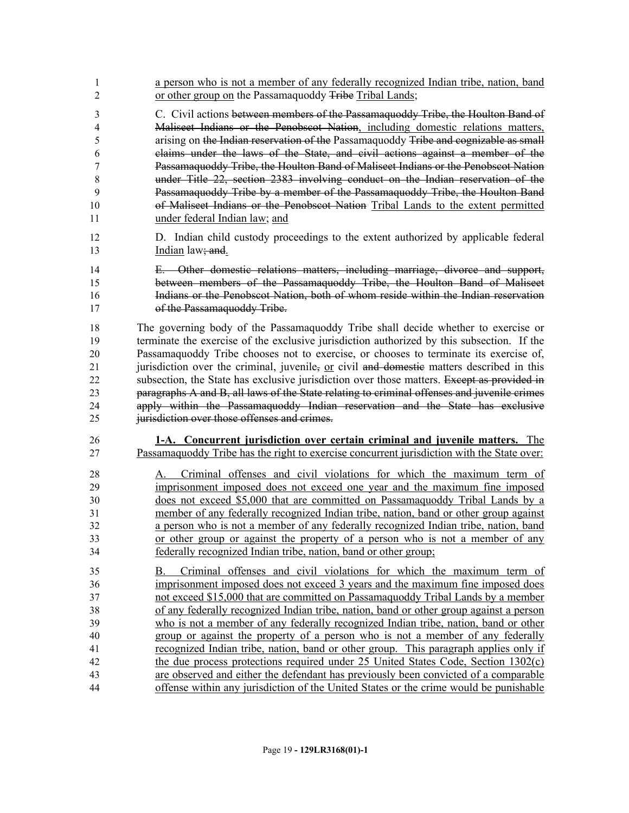| 1                                                        | a person who is not a member of any federally recognized Indian tribe, nation, band                                                                                                                                                                                                                                                                                                                                                                                                                                                                                                                                                                                                                                                                                                                                                                                              |
|----------------------------------------------------------|----------------------------------------------------------------------------------------------------------------------------------------------------------------------------------------------------------------------------------------------------------------------------------------------------------------------------------------------------------------------------------------------------------------------------------------------------------------------------------------------------------------------------------------------------------------------------------------------------------------------------------------------------------------------------------------------------------------------------------------------------------------------------------------------------------------------------------------------------------------------------------|
| $\overline{2}$                                           | or other group on the Passamaquoddy Tribe Tribal Lands;                                                                                                                                                                                                                                                                                                                                                                                                                                                                                                                                                                                                                                                                                                                                                                                                                          |
| 3                                                        | C. Civil actions between members of the Passamaquoddy Tribe, the Houlton Band of                                                                                                                                                                                                                                                                                                                                                                                                                                                                                                                                                                                                                                                                                                                                                                                                 |
| 4                                                        | Maliseet Indians or the Penobscot Nation, including domestic relations matters,                                                                                                                                                                                                                                                                                                                                                                                                                                                                                                                                                                                                                                                                                                                                                                                                  |
| 5                                                        | arising on the Indian reservation of the Passamaquoddy Tribe and cognizable as small                                                                                                                                                                                                                                                                                                                                                                                                                                                                                                                                                                                                                                                                                                                                                                                             |
| 6                                                        | claims under the laws of the State, and civil actions against a member of the                                                                                                                                                                                                                                                                                                                                                                                                                                                                                                                                                                                                                                                                                                                                                                                                    |
| 7                                                        | Passamaquoddy Tribe, the Houlton Band of Maliseet Indians or the Penobscot Nation                                                                                                                                                                                                                                                                                                                                                                                                                                                                                                                                                                                                                                                                                                                                                                                                |
| 8                                                        | under Title 22, section 2383 involving conduct on the Indian reservation of the                                                                                                                                                                                                                                                                                                                                                                                                                                                                                                                                                                                                                                                                                                                                                                                                  |
| 9                                                        | Passamaquoddy Tribe by a member of the Passamaquoddy Tribe, the Houlton Band                                                                                                                                                                                                                                                                                                                                                                                                                                                                                                                                                                                                                                                                                                                                                                                                     |
| 10                                                       | of Maliseet Indians or the Penobscot Nation Tribal Lands to the extent permitted                                                                                                                                                                                                                                                                                                                                                                                                                                                                                                                                                                                                                                                                                                                                                                                                 |
| 11                                                       | under federal Indian law; and                                                                                                                                                                                                                                                                                                                                                                                                                                                                                                                                                                                                                                                                                                                                                                                                                                                    |
| 12                                                       | D. Indian child custody proceedings to the extent authorized by applicable federal                                                                                                                                                                                                                                                                                                                                                                                                                                                                                                                                                                                                                                                                                                                                                                                               |
| 13                                                       | Indian law <del>; and</del> .                                                                                                                                                                                                                                                                                                                                                                                                                                                                                                                                                                                                                                                                                                                                                                                                                                                    |
| 14                                                       | E. Other domestic relations matters, including marriage, divorce and support,                                                                                                                                                                                                                                                                                                                                                                                                                                                                                                                                                                                                                                                                                                                                                                                                    |
| 15                                                       | between members of the Passamaquoddy Tribe, the Houlton Band of Maliseet                                                                                                                                                                                                                                                                                                                                                                                                                                                                                                                                                                                                                                                                                                                                                                                                         |
| 16                                                       | Indians or the Penobscot Nation, both of whom reside within the Indian reservation                                                                                                                                                                                                                                                                                                                                                                                                                                                                                                                                                                                                                                                                                                                                                                                               |
| 17                                                       | of the Passamaquoddy Tribe.                                                                                                                                                                                                                                                                                                                                                                                                                                                                                                                                                                                                                                                                                                                                                                                                                                                      |
| 18                                                       | The governing body of the Passamaquoddy Tribe shall decide whether to exercise or                                                                                                                                                                                                                                                                                                                                                                                                                                                                                                                                                                                                                                                                                                                                                                                                |
| 19                                                       | terminate the exercise of the exclusive jurisdiction authorized by this subsection. If the                                                                                                                                                                                                                                                                                                                                                                                                                                                                                                                                                                                                                                                                                                                                                                                       |
| 20                                                       | Passamaquoddy Tribe chooses not to exercise, or chooses to terminate its exercise of,                                                                                                                                                                                                                                                                                                                                                                                                                                                                                                                                                                                                                                                                                                                                                                                            |
| 21                                                       | jurisdiction over the criminal, juvenile, or civil and domestic matters described in this                                                                                                                                                                                                                                                                                                                                                                                                                                                                                                                                                                                                                                                                                                                                                                                        |
| 22                                                       | subsection, the State has exclusive jurisdiction over those matters. Except as provided in                                                                                                                                                                                                                                                                                                                                                                                                                                                                                                                                                                                                                                                                                                                                                                                       |
| 23                                                       | paragraphs A and B, all laws of the State relating to criminal offenses and juvenile crimes                                                                                                                                                                                                                                                                                                                                                                                                                                                                                                                                                                                                                                                                                                                                                                                      |
| 24                                                       | apply within the Passamaquoddy Indian reservation and the State has exclusive                                                                                                                                                                                                                                                                                                                                                                                                                                                                                                                                                                                                                                                                                                                                                                                                    |
| 25                                                       | jurisdiction over those offenses and crimes.                                                                                                                                                                                                                                                                                                                                                                                                                                                                                                                                                                                                                                                                                                                                                                                                                                     |
| 26                                                       | 1-A. Concurrent jurisdiction over certain criminal and juvenile matters. The                                                                                                                                                                                                                                                                                                                                                                                                                                                                                                                                                                                                                                                                                                                                                                                                     |
| 27                                                       | Passamaquoddy Tribe has the right to exercise concurrent jurisdiction with the State over:                                                                                                                                                                                                                                                                                                                                                                                                                                                                                                                                                                                                                                                                                                                                                                                       |
| 28                                                       | Criminal offenses and civil violations for which the maximum term of                                                                                                                                                                                                                                                                                                                                                                                                                                                                                                                                                                                                                                                                                                                                                                                                             |
| 29                                                       | imprisonment imposed does not exceed one year and the maximum fine imposed                                                                                                                                                                                                                                                                                                                                                                                                                                                                                                                                                                                                                                                                                                                                                                                                       |
| 30                                                       | does not exceed \$5,000 that are committed on Passamaguoddy Tribal Lands by a                                                                                                                                                                                                                                                                                                                                                                                                                                                                                                                                                                                                                                                                                                                                                                                                    |
| 31                                                       | member of any federally recognized Indian tribe, nation, band or other group against                                                                                                                                                                                                                                                                                                                                                                                                                                                                                                                                                                                                                                                                                                                                                                                             |
| 32                                                       | a person who is not a member of any federally recognized Indian tribe, nation, band                                                                                                                                                                                                                                                                                                                                                                                                                                                                                                                                                                                                                                                                                                                                                                                              |
| 33                                                       | or other group or against the property of a person who is not a member of any                                                                                                                                                                                                                                                                                                                                                                                                                                                                                                                                                                                                                                                                                                                                                                                                    |
| 34                                                       | federally recognized Indian tribe, nation, band or other group;                                                                                                                                                                                                                                                                                                                                                                                                                                                                                                                                                                                                                                                                                                                                                                                                                  |
| 35<br>36<br>37<br>38<br>39<br>40<br>41<br>42<br>43<br>44 | Criminal offenses and civil violations for which the maximum term of<br>В.<br>imprisonment imposed does not exceed 3 years and the maximum fine imposed does<br>not exceed \$15,000 that are committed on Passamaguoddy Tribal Lands by a member<br>of any federally recognized Indian tribe, nation, band or other group against a person<br>who is not a member of any federally recognized Indian tribe, nation, band or other<br>group or against the property of a person who is not a member of any federally<br>recognized Indian tribe, nation, band or other group. This paragraph applies only if<br>the due process protections required under 25 United States Code, Section 1302(c)<br>are observed and either the defendant has previously been convicted of a comparable<br>offense within any jurisdiction of the United States or the crime would be punishable |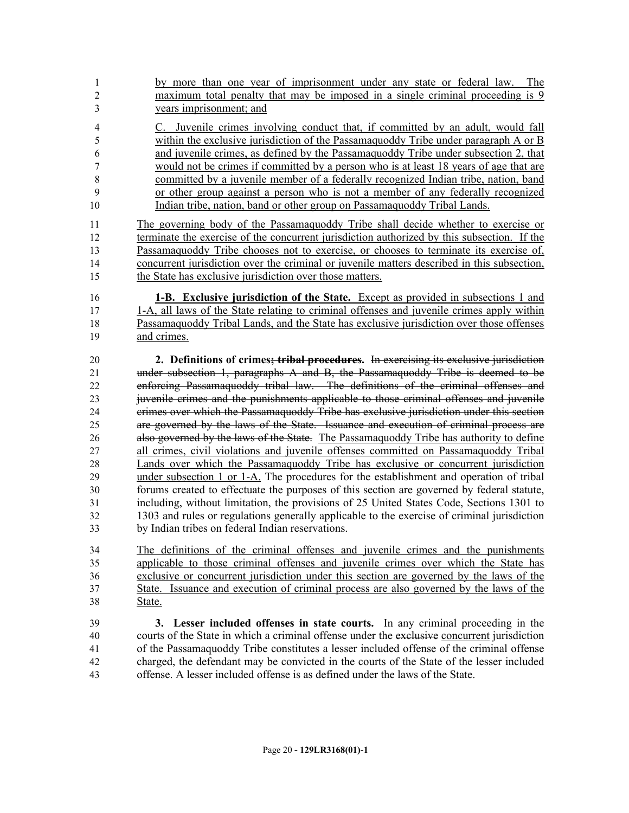- by more than one year of imprisonment under any state or federal law. The maximum total penalty that may be imposed in a single criminal proceeding is 9 years imprisonment; and
- C. Juvenile crimes involving conduct that, if committed by an adult, would fall within the exclusive jurisdiction of the Passamaquoddy Tribe under paragraph A or B and juvenile crimes, as defined by the Passamaquoddy Tribe under subsection 2, that would not be crimes if committed by a person who is at least 18 years of age that are committed by a juvenile member of a federally recognized Indian tribe, nation, band or other group against a person who is not a member of any federally recognized Indian tribe, nation, band or other group on Passamaquoddy Tribal Lands.
- The governing body of the Passamaquoddy Tribe shall decide whether to exercise or terminate the exercise of the concurrent jurisdiction authorized by this subsection. If the Passamaquoddy Tribe chooses not to exercise, or chooses to terminate its exercise of, concurrent jurisdiction over the criminal or juvenile matters described in this subsection, the State has exclusive jurisdiction over those matters.
- **1-B. Exclusive jurisdiction of the State.** Except as provided in subsections 1 and 1-A, all laws of the State relating to criminal offenses and juvenile crimes apply within Passamaquoddy Tribal Lands, and the State has exclusive jurisdiction over those offenses and crimes.
- **2. Definitions of crimes; tribal procedures.** In exercising its exclusive jurisdiction under subsection 1, paragraphs A and B, the Passamaquoddy Tribe is deemed to be enforcing Passamaquoddy tribal law. The definitions of the criminal offenses and juvenile crimes and the punishments applicable to those criminal offenses and juvenile crimes over which the Passamaquoddy Tribe has exclusive jurisdiction under this section are governed by the laws of the State. Issuance and execution of criminal process are 26 also governed by the laws of the State. The Passamaquoddy Tribe has authority to define all crimes, civil violations and juvenile offenses committed on Passamaquoddy Tribal Lands over which the Passamaquoddy Tribe has exclusive or concurrent jurisdiction under subsection 1 or 1-A. The procedures for the establishment and operation of tribal forums created to effectuate the purposes of this section are governed by federal statute, including, without limitation, the provisions of 25 United States Code, Sections 1301 to 1303 and rules or regulations generally applicable to the exercise of criminal jurisdiction by Indian tribes on federal Indian reservations.
- The definitions of the criminal offenses and juvenile crimes and the punishments applicable to those criminal offenses and juvenile crimes over which the State has exclusive or concurrent jurisdiction under this section are governed by the laws of the State. Issuance and execution of criminal process are also governed by the laws of the State.
- **3. Lesser included offenses in state courts.** In any criminal proceeding in the courts of the State in which a criminal offense under the exclusive concurrent jurisdiction of the Passamaquoddy Tribe constitutes a lesser included offense of the criminal offense charged, the defendant may be convicted in the courts of the State of the lesser included offense. A lesser included offense is as defined under the laws of the State.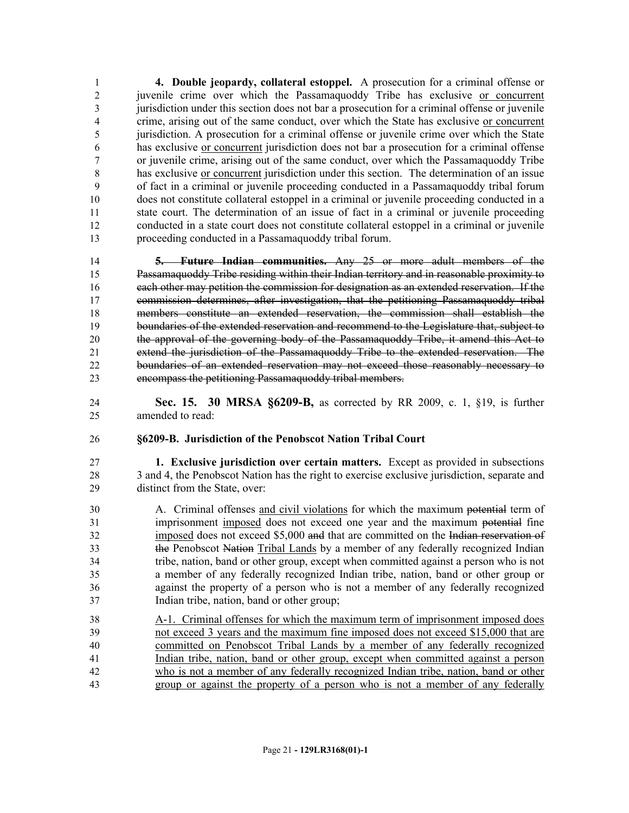**4. Double jeopardy, collateral estoppel.** A prosecution for a criminal offense or juvenile crime over which the Passamaquoddy Tribe has exclusive or concurrent 3 jurisdiction under this section does not bar a prosecution for a criminal offense or juvenile crime, arising out of the same conduct, over which the State has exclusive or concurrent jurisdiction. A prosecution for a criminal offense or juvenile crime over which the State has exclusive or concurrent jurisdiction does not bar a prosecution for a criminal offense or juvenile crime, arising out of the same conduct, over which the Passamaquoddy Tribe has exclusive or concurrent jurisdiction under this section. The determination of an issue of fact in a criminal or juvenile proceeding conducted in a Passamaquoddy tribal forum does not constitute collateral estoppel in a criminal or juvenile proceeding conducted in a state court. The determination of an issue of fact in a criminal or juvenile proceeding conducted in a state court does not constitute collateral estoppel in a criminal or juvenile proceeding conducted in a Passamaquoddy tribal forum.

 **5. Future Indian communities.** Any 25 or more adult members of the Passamaquoddy Tribe residing within their Indian territory and in reasonable proximity to each other may petition the commission for designation as an extended reservation. If the commission determines, after investigation, that the petitioning Passamaquoddy tribal members constitute an extended reservation, the commission shall establish the 19 boundaries of the extended reservation and recommend to the Legislature that, subject to the approval of the governing body of the Passamaquoddy Tribe, it amend this Act to extend the jurisdiction of the Passamaquoddy Tribe to the extended reservation. The boundaries of an extended reservation may not exceed those reasonably necessary to encompass the petitioning Passamaquoddy tribal members.

 **Sec. 15. 30 MRSA §6209-B,** as corrected by RR 2009, c. 1, §19, is further amended to read:

#### **§6209-B. Jurisdiction of the Penobscot Nation Tribal Court**

 **1. Exclusive jurisdiction over certain matters.** Except as provided in subsections 3 and 4, the Penobscot Nation has the right to exercise exclusive jurisdiction, separate and distinct from the State, over:

- A. Criminal offenses and civil violations for which the maximum potential term of imprisonment imposed does not exceed one year and the maximum potential fine imposed does not exceed \$5,000 and that are committed on the Indian reservation of the Penobscot Nation Tribal Lands by a member of any federally recognized Indian tribe, nation, band or other group, except when committed against a person who is not a member of any federally recognized Indian tribe, nation, band or other group or against the property of a person who is not a member of any federally recognized Indian tribe, nation, band or other group;
- A-1. Criminal offenses for which the maximum term of imprisonment imposed does not exceed 3 years and the maximum fine imposed does not exceed \$15,000 that are committed on Penobscot Tribal Lands by a member of any federally recognized Indian tribe, nation, band or other group, except when committed against a person who is not a member of any federally recognized Indian tribe, nation, band or other group or against the property of a person who is not a member of any federally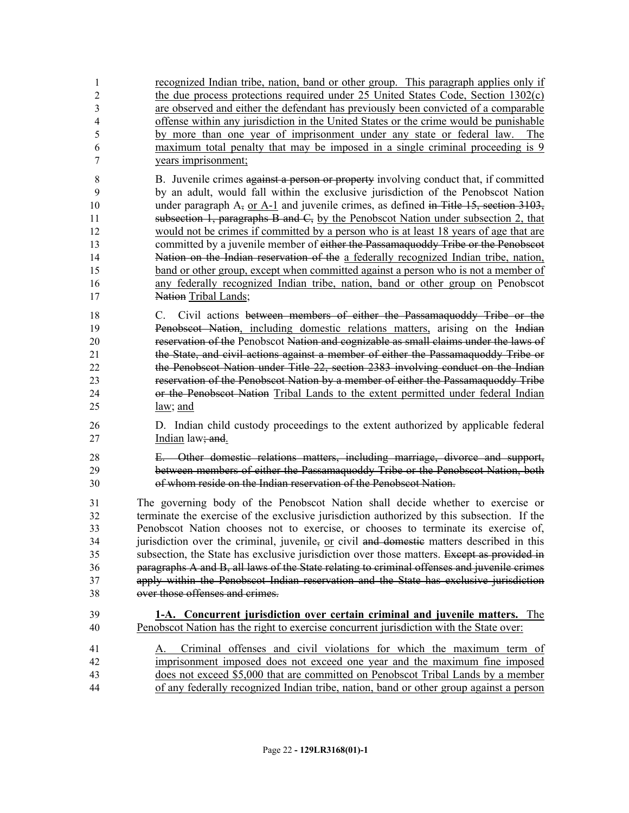recognized Indian tribe, nation, band or other group. This paragraph applies only if the due process protections required under 25 United States Code, Section 1302(c) are observed and either the defendant has previously been convicted of a comparable offense within any jurisdiction in the United States or the crime would be punishable by more than one year of imprisonment under any state or federal law. The maximum total penalty that may be imposed in a single criminal proceeding is 9 years imprisonment;

8 B. Juvenile crimes against a person or property involving conduct that, if committed by an adult, would fall within the exclusive jurisdiction of the Penobscot Nation 10 under paragraph  $A_7$  or A-1 and juvenile crimes, as defined in Title 15, section 3103, **Subsection 1, paragraphs B and C**, by the Penobscot Nation under subsection 2, that would not be crimes if committed by a person who is at least 18 years of age that are 13 committed by a juvenile member of either the Passamaquoddy Tribe or the Penobscot Nation on the Indian reservation of the a federally recognized Indian tribe, nation, band or other group, except when committed against a person who is not a member of any federally recognized Indian tribe, nation, band or other group on Penobscot **Nation Tribal Lands**;

 C. Civil actions between members of either the Passamaquoddy Tribe or the Penobscot Nation, including domestic relations matters, arising on the Indian reservation of the Penobscot Nation and cognizable as small claims under the laws of the State, and civil actions against a member of either the Passamaquoddy Tribe or the Penobscot Nation under Title 22, section 2383 involving conduct on the Indian reservation of the Penobscot Nation by a member of either the Passamaquoddy Tribe or the Penobscot Nation Tribal Lands to the extent permitted under federal Indian law; and

- D. Indian child custody proceedings to the extent authorized by applicable federal 27 Indian law<del>; and</del>.
- E. Other domestic relations matters, including marriage, divorce and support, between members of either the Passamaquoddy Tribe or the Penobscot Nation, both of whom reside on the Indian reservation of the Penobscot Nation.

 The governing body of the Penobscot Nation shall decide whether to exercise or terminate the exercise of the exclusive jurisdiction authorized by this subsection. If the Penobscot Nation chooses not to exercise, or chooses to terminate its exercise of, jurisdiction over the criminal, juvenile, or civil and domestic matters described in this 35 subsection, the State has exclusive jurisdiction over those matters. Except as provided in paragraphs A and B, all laws of the State relating to criminal offenses and juvenile crimes apply within the Penobscot Indian reservation and the State has exclusive jurisdiction over those offenses and crimes.

#### **1-A. Concurrent jurisdiction over certain criminal and juvenile matters.** The Penobscot Nation has the right to exercise concurrent jurisdiction with the State over:

 A. Criminal offenses and civil violations for which the maximum term of imprisonment imposed does not exceed one year and the maximum fine imposed does not exceed \$5,000 that are committed on Penobscot Tribal Lands by a member of any federally recognized Indian tribe, nation, band or other group against a person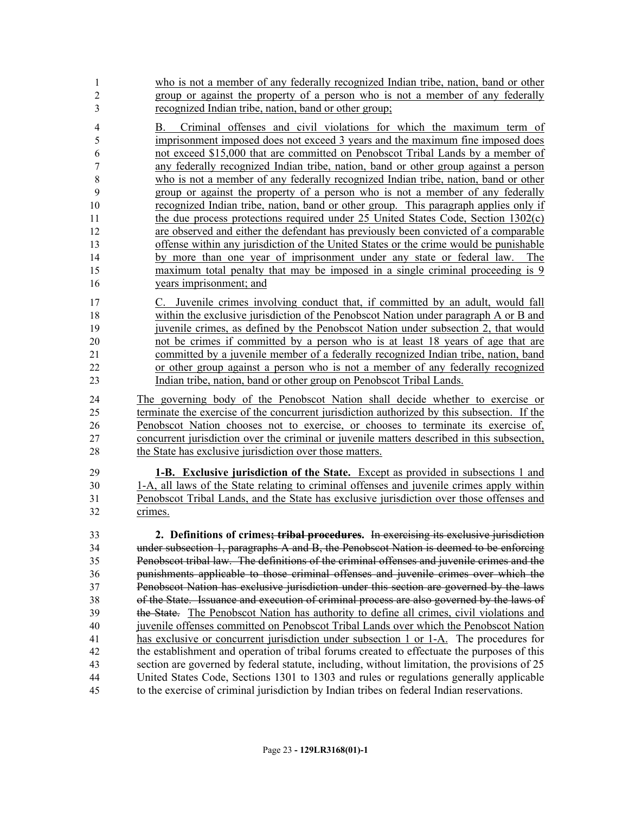| $\overline{1}$ | who is not a member of any federally recognized Indian tribe, nation, band or other |
|----------------|-------------------------------------------------------------------------------------|
| 2              | group or against the property of a person who is not a member of any federally      |
|                | recognized Indian tribe, nation, band or other group;                               |
| $\overline{4}$ | B. Criminal offenses and civil violations for which the maximum term of             |
| -5             | imprisonment imposed does not exceed 3 years and the maximum fine imposed does      |
| -6             | not exceed \$15,000 that are committed on Penobscot Tribal Lands by a member of     |
|                | any federally recognized Indian tribe, nation, band or other group against a person |

- who is not a member of any federally recognized Indian tribe, nation, band or other group or against the property of a person who is not a member of any federally recognized Indian tribe, nation, band or other group. This paragraph applies only if the due process protections required under 25 United States Code, Section 1302(c) are observed and either the defendant has previously been convicted of a comparable offense within any jurisdiction of the United States or the crime would be punishable by more than one year of imprisonment under any state or federal law. The 15 maximum total penalty that may be imposed in a single criminal proceeding is 9 years imprisonment; and
- C. Juvenile crimes involving conduct that, if committed by an adult, would fall within the exclusive jurisdiction of the Penobscot Nation under paragraph A or B and juvenile crimes, as defined by the Penobscot Nation under subsection 2, that would not be crimes if committed by a person who is at least 18 years of age that are committed by a juvenile member of a federally recognized Indian tribe, nation, band or other group against a person who is not a member of any federally recognized Indian tribe, nation, band or other group on Penobscot Tribal Lands.

 The governing body of the Penobscot Nation shall decide whether to exercise or terminate the exercise of the concurrent jurisdiction authorized by this subsection. If the Penobscot Nation chooses not to exercise, or chooses to terminate its exercise of, concurrent jurisdiction over the criminal or juvenile matters described in this subsection, 28 the State has exclusive jurisdiction over those matters.

 **1-B. Exclusive jurisdiction of the State.** Except as provided in subsections 1 and 1-A, all laws of the State relating to criminal offenses and juvenile crimes apply within Penobscot Tribal Lands, and the State has exclusive jurisdiction over those offenses and crimes.

 **2. Definitions of crimes; tribal procedures.** In exercising its exclusive jurisdiction under subsection 1, paragraphs A and B, the Penobscot Nation is deemed to be enforcing Penobscot tribal law. The definitions of the criminal offenses and juvenile crimes and the punishments applicable to those criminal offenses and juvenile crimes over which the Penobscot Nation has exclusive jurisdiction under this section are governed by the laws of the State. Issuance and execution of criminal process are also governed by the laws of the State. The Penobscot Nation has authority to define all crimes, civil violations and juvenile offenses committed on Penobscot Tribal Lands over which the Penobscot Nation has exclusive or concurrent jurisdiction under subsection 1 or 1-A. The procedures for the establishment and operation of tribal forums created to effectuate the purposes of this section are governed by federal statute, including, without limitation, the provisions of 25 United States Code, Sections 1301 to 1303 and rules or regulations generally applicable to the exercise of criminal jurisdiction by Indian tribes on federal Indian reservations.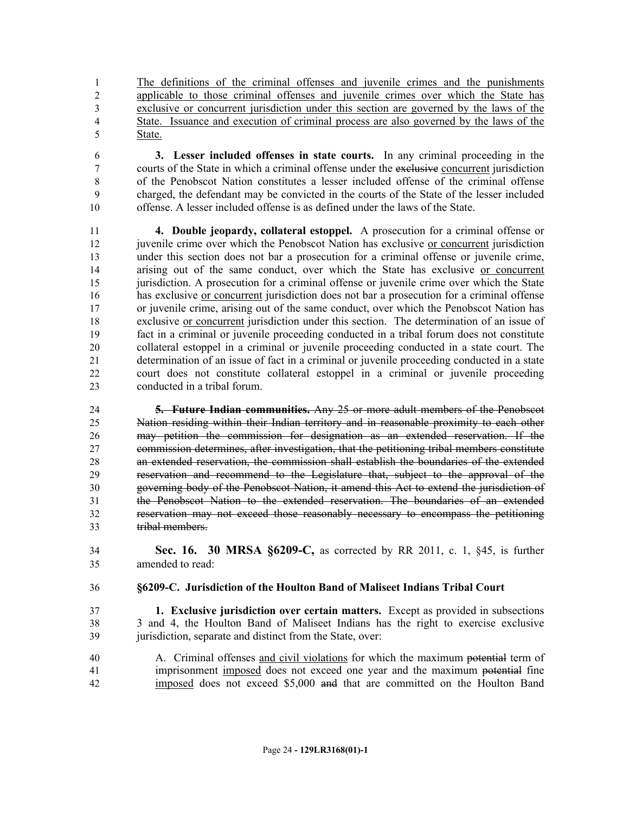The definitions of the criminal offenses and juvenile crimes and the punishments applicable to those criminal offenses and juvenile crimes over which the State has exclusive or concurrent jurisdiction under this section are governed by the laws of the State. Issuance and execution of criminal process are also governed by the laws of the State.

 **3. Lesser included offenses in state courts.** In any criminal proceeding in the courts of the State in which a criminal offense under the exclusive concurrent jurisdiction of the Penobscot Nation constitutes a lesser included offense of the criminal offense charged, the defendant may be convicted in the courts of the State of the lesser included offense. A lesser included offense is as defined under the laws of the State.

 **4. Double jeopardy, collateral estoppel.** A prosecution for a criminal offense or 12 juvenile crime over which the Penobscot Nation has exclusive or concurrent jurisdiction under this section does not bar a prosecution for a criminal offense or juvenile crime, arising out of the same conduct, over which the State has exclusive or concurrent 15 jurisdiction. A prosecution for a criminal offense or juvenile crime over which the State has exclusive or concurrent jurisdiction does not bar a prosecution for a criminal offense or juvenile crime, arising out of the same conduct, over which the Penobscot Nation has exclusive or concurrent jurisdiction under this section. The determination of an issue of fact in a criminal or juvenile proceeding conducted in a tribal forum does not constitute collateral estoppel in a criminal or juvenile proceeding conducted in a state court. The determination of an issue of fact in a criminal or juvenile proceeding conducted in a state court does not constitute collateral estoppel in a criminal or juvenile proceeding conducted in a tribal forum.

 **5. Future Indian communities.** Any 25 or more adult members of the Penobscot Nation residing within their Indian territory and in reasonable proximity to each other may petition the commission for designation as an extended reservation. If the commission determines, after investigation, that the petitioning tribal members constitute an extended reservation, the commission shall establish the boundaries of the extended reservation and recommend to the Legislature that, subject to the approval of the governing body of the Penobscot Nation, it amend this Act to extend the jurisdiction of the Penobscot Nation to the extended reservation. The boundaries of an extended reservation may not exceed those reasonably necessary to encompass the petitioning tribal members.

 **Sec. 16. 30 MRSA §6209-C,** as corrected by RR 2011, c. 1, §45, is further amended to read:

#### **§6209-C. Jurisdiction of the Houlton Band of Maliseet Indians Tribal Court**

- **1. Exclusive jurisdiction over certain matters.** Except as provided in subsections 3 and 4, the Houlton Band of Maliseet Indians has the right to exercise exclusive 39 jurisdiction, separate and distinct from the State, over:
- A. Criminal offenses and civil violations for which the maximum potential term of imprisonment imposed does not exceed one year and the maximum potential fine imposed does not exceed \$5,000 and that are committed on the Houlton Band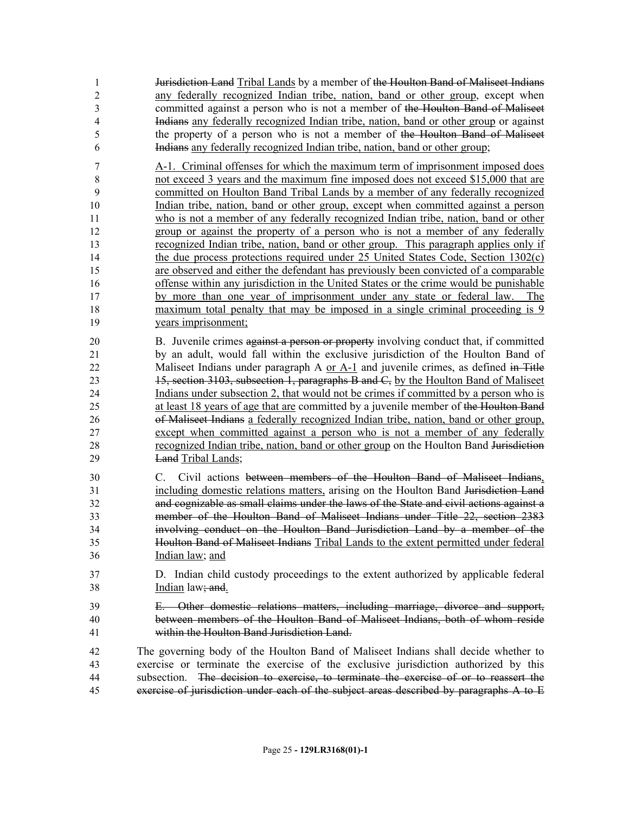**Jurisdiction Land** Tribal Lands by a member of the Houlton Band of Maliseet Indians any federally recognized Indian tribe, nation, band or other group, except when committed against a person who is not a member of the Houlton Band of Maliseet Indians any federally recognized Indian tribe, nation, band or other group or against the property of a person who is not a member of the Houlton Band of Maliseet Indians any federally recognized Indian tribe, nation, band or other group;

 A-1. Criminal offenses for which the maximum term of imprisonment imposed does not exceed 3 years and the maximum fine imposed does not exceed \$15,000 that are committed on Houlton Band Tribal Lands by a member of any federally recognized 10 Indian tribe, nation, band or other group, except when committed against a person who is not a member of any federally recognized Indian tribe, nation, band or other group or against the property of a person who is not a member of any federally recognized Indian tribe, nation, band or other group. This paragraph applies only if the due process protections required under 25 United States Code, Section 1302(c) are observed and either the defendant has previously been convicted of a comparable offense within any jurisdiction in the United States or the crime would be punishable by more than one year of imprisonment under any state or federal law. The maximum total penalty that may be imposed in a single criminal proceeding is 9 years imprisonment;

20 B. Juvenile crimes against a person or property involving conduct that, if committed by an adult, would fall within the exclusive jurisdiction of the Houlton Band of 22 Maliseet Indians under paragraph A or A-1 and juvenile crimes, as defined in Title 15, section 3103, subsection 1, paragraphs B and C, by the Houlton Band of Maliseet Indians under subsection 2, that would not be crimes if committed by a person who is at least 18 years of age that are committed by a juvenile member of the Houlton Band of Maliseet Indians a federally recognized Indian tribe, nation, band or other group, except when committed against a person who is not a member of any federally recognized Indian tribe, nation, band or other group on the Houlton Band Jurisdiction Land Tribal Lands;

 C. Civil actions between members of the Houlton Band of Maliseet Indians, including domestic relations matters, arising on the Houlton Band Jurisdiction Land and cognizable as small claims under the laws of the State and civil actions against a member of the Houlton Band of Maliseet Indians under Title 22, section 2383 involving conduct on the Houlton Band Jurisdiction Land by a member of the Houlton Band of Maliseet Indians Tribal Lands to the extent permitted under federal Indian law; and

- D. Indian child custody proceedings to the extent authorized by applicable federal **Indian law; and.**
- E. Other domestic relations matters, including marriage, divorce and support, between members of the Houlton Band of Maliseet Indians, both of whom reside within the Houlton Band Jurisdiction Land.

 The governing body of the Houlton Band of Maliseet Indians shall decide whether to exercise or terminate the exercise of the exclusive jurisdiction authorized by this subsection. The decision to exercise, to terminate the exercise of or to reassert the exercise of jurisdiction under each of the subject areas described by paragraphs A to E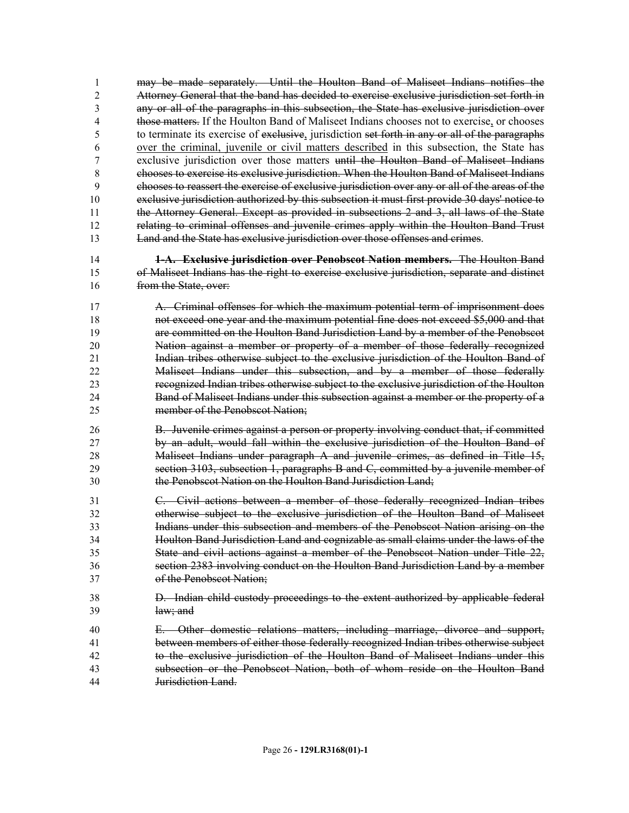may be made separately. Until the Houlton Band of Maliseet Indians notifies the Attorney General that the band has decided to exercise exclusive jurisdiction set forth in any or all of the paragraphs in this subsection, the State has exclusive jurisdiction over those matters. If the Houlton Band of Maliseet Indians chooses not to exercise, or chooses to terminate its exercise of exclusive, jurisdiction set forth in any or all of the paragraphs over the criminal, juvenile or civil matters described in this subsection, the State has exclusive jurisdiction over those matters until the Houlton Band of Maliseet Indians chooses to exercise its exclusive jurisdiction. When the Houlton Band of Maliseet Indians chooses to reassert the exercise of exclusive jurisdiction over any or all of the areas of the exclusive jurisdiction authorized by this subsection it must first provide 30 days' notice to the Attorney General. Except as provided in subsections 2 and 3, all laws of the State relating to criminal offenses and juvenile crimes apply within the Houlton Band Trust Land and the State has exclusive jurisdiction over those offenses and crimes.

 **1-A. Exclusive jurisdiction over Penobscot Nation members.** The Houlton Band of Maliseet Indians has the right to exercise exclusive jurisdiction, separate and distinct 16 from the State, over:

 A. Criminal offenses for which the maximum potential term of imprisonment does not exceed one year and the maximum potential fine does not exceed \$5,000 and that are committed on the Houlton Band Jurisdiction Land by a member of the Penobscot Nation against a member or property of a member of those federally recognized Indian tribes otherwise subject to the exclusive jurisdiction of the Houlton Band of Maliseet Indians under this subsection, and by a member of those federally recognized Indian tribes otherwise subject to the exclusive jurisdiction of the Houlton Band of Maliseet Indians under this subsection against a member or the property of a member of the Penobscot Nation;

 B. Juvenile crimes against a person or property involving conduct that, if committed by an adult, would fall within the exclusive jurisdiction of the Houlton Band of Maliseet Indians under paragraph A and juvenile crimes, as defined in Title 15, section 3103, subsection 1, paragraphs B and C, committed by a juvenile member of the Penobscot Nation on the Houlton Band Jurisdiction Land;

 C. Civil actions between a member of those federally recognized Indian tribes otherwise subject to the exclusive jurisdiction of the Houlton Band of Maliseet Indians under this subsection and members of the Penobscot Nation arising on the Houlton Band Jurisdiction Land and cognizable as small claims under the laws of the State and civil actions against a member of the Penobscot Nation under Title 22, section 2383 involving conduct on the Houlton Band Jurisdiction Land by a member of the Penobscot Nation;

- D. Indian child custody proceedings to the extent authorized by applicable federal law; and
- E. Other domestic relations matters, including marriage, divorce and support,
- between members of either those federally recognized Indian tribes otherwise subject to the exclusive jurisdiction of the Houlton Band of Maliseet Indians under this
- subsection or the Penobscot Nation, both of whom reside on the Houlton Band
- Jurisdiction Land.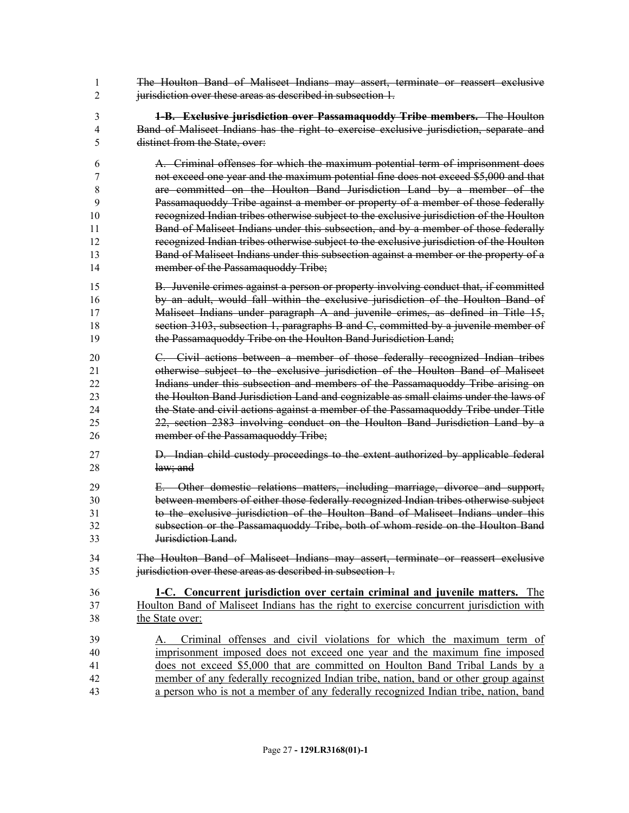- The Houlton Band of Maliseet Indians may assert, terminate or reassert exclusive 2 iurisdiction over these areas as described in subsection 1.
- **1-B. Exclusive jurisdiction over Passamaquoddy Tribe members.** The Houlton Band of Maliseet Indians has the right to exercise exclusive jurisdiction, separate and distinct from the State, over:
- A. Criminal offenses for which the maximum potential term of imprisonment does not exceed one year and the maximum potential fine does not exceed \$5,000 and that are committed on the Houlton Band Jurisdiction Land by a member of the Passamaquoddy Tribe against a member or property of a member of those federally recognized Indian tribes otherwise subject to the exclusive jurisdiction of the Houlton Band of Maliseet Indians under this subsection, and by a member of those federally recognized Indian tribes otherwise subject to the exclusive jurisdiction of the Houlton **Band of Maliseet Indians under this subsection against a member or the property of a** 14 member of the Passamaquoddy Tribe;
- B. Juvenile crimes against a person or property involving conduct that, if committed by an adult, would fall within the exclusive jurisdiction of the Houlton Band of Maliseet Indians under paragraph A and juvenile crimes, as defined in Title 15, section 3103, subsection 1, paragraphs B and C, committed by a juvenile member of the Passamaquoddy Tribe on the Houlton Band Jurisdiction Land;
- C. Civil actions between a member of those federally recognized Indian tribes otherwise subject to the exclusive jurisdiction of the Houlton Band of Maliseet Indians under this subsection and members of the Passamaquoddy Tribe arising on the Houlton Band Jurisdiction Land and cognizable as small claims under the laws of the State and civil actions against a member of the Passamaquoddy Tribe under Title 22, section 2383 involving conduct on the Houlton Band Jurisdiction Land by a 26 member of the Passamaquoddy Tribe;
- D. Indian child custody proceedings to the extent authorized by applicable federal law; and
- E. Other domestic relations matters, including marriage, divorce and support, between members of either those federally recognized Indian tribes otherwise subject to the exclusive jurisdiction of the Houlton Band of Maliseet Indians under this subsection or the Passamaquoddy Tribe, both of whom reside on the Houlton Band Jurisdiction Land.
- The Houlton Band of Maliseet Indians may assert, terminate or reassert exclusive jurisdiction over these areas as described in subsection 1.
- **1-C. Concurrent jurisdiction over certain criminal and juvenile matters.** The Houlton Band of Maliseet Indians has the right to exercise concurrent jurisdiction with the State over:
- A. Criminal offenses and civil violations for which the maximum term of imprisonment imposed does not exceed one year and the maximum fine imposed does not exceed \$5,000 that are committed on Houlton Band Tribal Lands by a member of any federally recognized Indian tribe, nation, band or other group against a person who is not a member of any federally recognized Indian tribe, nation, band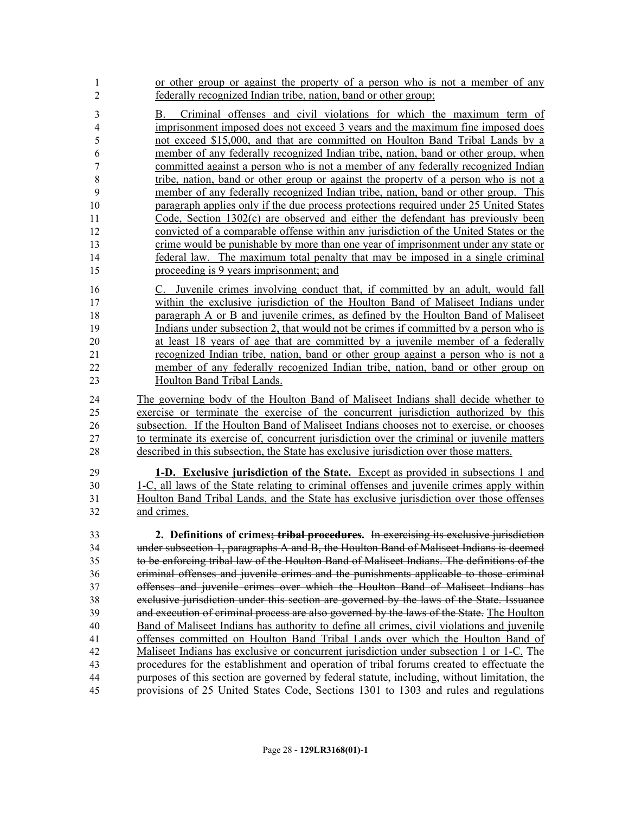| 1<br>$\overline{2}$ | or other group or against the property of a person who is not a member of any<br>federally recognized Indian tribe, nation, band or other group;                                      |
|---------------------|---------------------------------------------------------------------------------------------------------------------------------------------------------------------------------------|
| 3                   | Criminal offenses and civil violations for which the maximum term of<br>В.                                                                                                            |
| 4                   | imprisonment imposed does not exceed 3 years and the maximum fine imposed does                                                                                                        |
| 5                   | not exceed \$15,000, and that are committed on Houlton Band Tribal Lands by a                                                                                                         |
| 6                   | member of any federally recognized Indian tribe, nation, band or other group, when                                                                                                    |
| $\tau$              | committed against a person who is not a member of any federally recognized Indian                                                                                                     |
| $\,$ 8 $\,$         | tribe, nation, band or other group or against the property of a person who is not a                                                                                                   |
| 9                   | member of any federally recognized Indian tribe, nation, band or other group. This                                                                                                    |
| 10                  | paragraph applies only if the due process protections required under 25 United States                                                                                                 |
| 11                  | Code, Section 1302(c) are observed and either the defendant has previously been                                                                                                       |
| 12                  | convicted of a comparable offense within any jurisdiction of the United States or the                                                                                                 |
| 13                  | crime would be punishable by more than one year of imprisonment under any state or                                                                                                    |
| 14                  | federal law. The maximum total penalty that may be imposed in a single criminal                                                                                                       |
| 15                  | proceeding is 9 years imprisonment; and                                                                                                                                               |
| 16                  | C. Juvenile crimes involving conduct that, if committed by an adult, would fall                                                                                                       |
| 17                  | within the exclusive jurisdiction of the Houlton Band of Maliseet Indians under                                                                                                       |
| 18                  | paragraph A or B and juvenile crimes, as defined by the Houlton Band of Maliseet                                                                                                      |
| 19                  | Indians under subsection 2, that would not be crimes if committed by a person who is                                                                                                  |
| 20                  | at least 18 years of age that are committed by a juvenile member of a federally                                                                                                       |
| 21                  | recognized Indian tribe, nation, band or other group against a person who is not a                                                                                                    |
| 22                  | member of any federally recognized Indian tribe, nation, band or other group on                                                                                                       |
| 23                  | Houlton Band Tribal Lands.                                                                                                                                                            |
|                     |                                                                                                                                                                                       |
| 24                  | The governing body of the Houlton Band of Maliseet Indians shall decide whether to                                                                                                    |
| 25                  | exercise or terminate the exercise of the concurrent jurisdiction authorized by this                                                                                                  |
| 26                  | subsection. If the Houlton Band of Maliseet Indians chooses not to exercise, or chooses                                                                                               |
| 27<br>28            | to terminate its exercise of, concurrent jurisdiction over the criminal or juvenile matters<br>described in this subsection, the State has exclusive jurisdiction over those matters. |
| 29                  | 1-D. Exclusive jurisdiction of the State. Except as provided in subsections 1 and                                                                                                     |
| 30                  | 1-C, all laws of the State relating to criminal offenses and juvenile crimes apply within                                                                                             |
| 31                  | Houlton Band Tribal Lands, and the State has exclusive jurisdiction over those offenses                                                                                               |
| 32                  | and crimes.                                                                                                                                                                           |
| 33                  | 2. Definitions of crimes; tribal procedures. In exercising its exclusive jurisdiction                                                                                                 |
| 34                  | under subsection 1, paragraphs A and B, the Houlton Band of Maliseet Indians is deemed                                                                                                |
| 35                  | to be enforcing tribal law of the Houlton Band of Maliseet Indians. The definitions of the                                                                                            |
| 36                  | criminal offenses and juvenile crimes and the punishments applicable to those criminal                                                                                                |
| 37                  | offenses and juvenile crimes over which the Houlton Band of Maliseet Indians has                                                                                                      |
| 38                  | exclusive jurisdiction under this section are governed by the laws of the State. Issuance                                                                                             |
| 39                  | and execution of criminal process are also governed by the laws of the State. The Houlton                                                                                             |
| 40                  | Band of Maliseet Indians has authority to define all crimes, civil violations and juvenile                                                                                            |
| 41                  | offenses committed on Houlton Band Tribal Lands over which the Houlton Band of                                                                                                        |
| 42                  | Maliseet Indians has exclusive or concurrent jurisdiction under subsection 1 or 1-C. The                                                                                              |
| 43                  | procedures for the establishment and operation of tribal forums created to effectuate the                                                                                             |
| 44<br>45            | purposes of this section are governed by federal statute, including, without limitation, the<br>provisions of 25 United States Code, Sections 1301 to 1303 and rules and regulations  |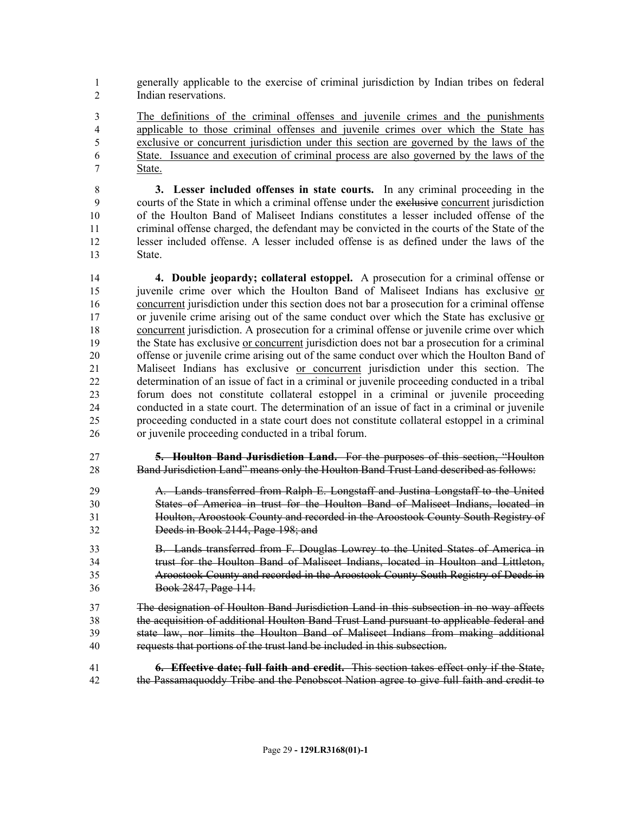- generally applicable to the exercise of criminal jurisdiction by Indian tribes on federal Indian reservations.
- The definitions of the criminal offenses and juvenile crimes and the punishments applicable to those criminal offenses and juvenile crimes over which the State has exclusive or concurrent jurisdiction under this section are governed by the laws of the State. Issuance and execution of criminal process are also governed by the laws of the State.

 **3. Lesser included offenses in state courts.** In any criminal proceeding in the courts of the State in which a criminal offense under the exclusive concurrent jurisdiction of the Houlton Band of Maliseet Indians constitutes a lesser included offense of the criminal offense charged, the defendant may be convicted in the courts of the State of the lesser included offense. A lesser included offense is as defined under the laws of the State.

 **4. Double jeopardy; collateral estoppel.** A prosecution for a criminal offense or juvenile crime over which the Houlton Band of Maliseet Indians has exclusive or concurrent jurisdiction under this section does not bar a prosecution for a criminal offense or juvenile crime arising out of the same conduct over which the State has exclusive or concurrent jurisdiction. A prosecution for a criminal offense or juvenile crime over which the State has exclusive or concurrent jurisdiction does not bar a prosecution for a criminal offense or juvenile crime arising out of the same conduct over which the Houlton Band of Maliseet Indians has exclusive or concurrent jurisdiction under this section. The determination of an issue of fact in a criminal or juvenile proceeding conducted in a tribal forum does not constitute collateral estoppel in a criminal or juvenile proceeding conducted in a state court. The determination of an issue of fact in a criminal or juvenile proceeding conducted in a state court does not constitute collateral estoppel in a criminal or juvenile proceeding conducted in a tribal forum.

 **5. Houlton Band Jurisdiction Land.** For the purposes of this section, "Houlton Band Jurisdiction Land" means only the Houlton Band Trust Land described as follows:

- A. Lands transferred from Ralph E. Longstaff and Justina Longstaff to the United States of America in trust for the Houlton Band of Maliseet Indians, located in Houlton, Aroostook County and recorded in the Aroostook County South Registry of Deeds in Book 2144, Page 198; and
- B. Lands transferred from F. Douglas Lowrey to the United States of America in trust for the Houlton Band of Maliseet Indians, located in Houlton and Littleton, Aroostook County and recorded in the Aroostook County South Registry of Deeds in Book 2847, Page 114.
- The designation of Houlton Band Jurisdiction Land in this subsection in no way affects the acquisition of additional Houlton Band Trust Land pursuant to applicable federal and state law, nor limits the Houlton Band of Maliseet Indians from making additional requests that portions of the trust land be included in this subsection.
- **6. Effective date; full faith and credit.** This section takes effect only if the State, the Passamaquoddy Tribe and the Penobscot Nation agree to give full faith and credit to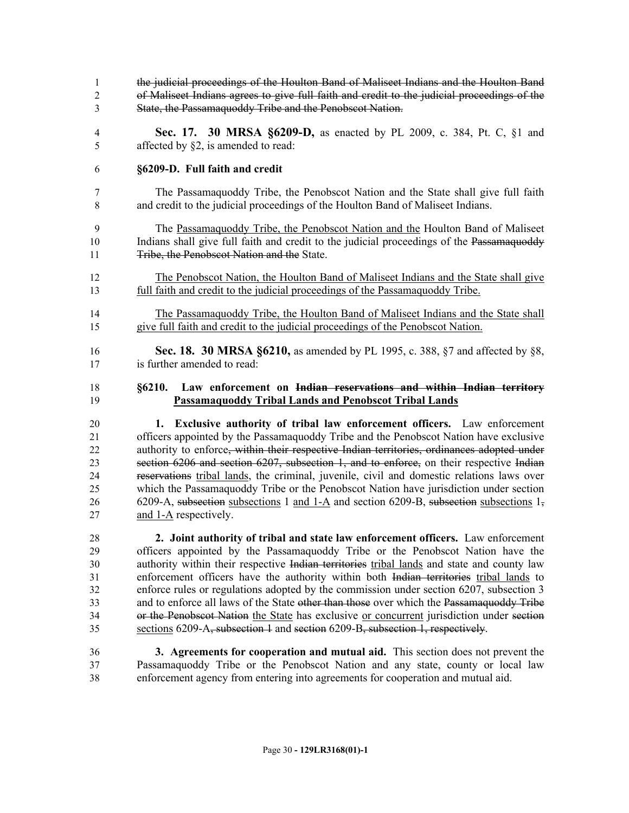the judicial proceedings of the Houlton Band of Maliseet Indians and the Houlton Band of Maliseet Indians agrees to give full faith and credit to the judicial proceedings of the State, the Passamaquoddy Tribe and the Penobscot Nation. **Sec. 17. 30 MRSA §6209-D,** as enacted by PL 2009, c. 384, Pt. C, §1 and affected by §2, is amended to read: **§6209-D. Full faith and credit** The Passamaquoddy Tribe, the Penobscot Nation and the State shall give full faith and credit to the judicial proceedings of the Houlton Band of Maliseet Indians. The Passamaquoddy Tribe, the Penobscot Nation and the Houlton Band of Maliseet 10 Indians shall give full faith and credit to the judicial proceedings of the Passamaquoddy 11 Tribe, the Penobscot Nation and the State. The Penobscot Nation, the Houlton Band of Maliseet Indians and the State shall give full faith and credit to the judicial proceedings of the Passamaquoddy Tribe. The Passamaquoddy Tribe, the Houlton Band of Maliseet Indians and the State shall give full faith and credit to the judicial proceedings of the Penobscot Nation. **Sec. 18. 30 MRSA §6210,** as amended by PL 1995, c. 388, §7 and affected by §8, is further amended to read: **§6210. Law enforcement on Indian reservations and within Indian territory Passamaquoddy Tribal Lands and Penobscot Tribal Lands 1. Exclusive authority of tribal law enforcement officers.** Law enforcement officers appointed by the Passamaquoddy Tribe and the Penobscot Nation have exclusive 22 authority to enforce, within their respective Indian territories, ordinances adopted under section 6206 and section 6207, subsection 1, and to enforce, on their respective Indian reservations tribal lands, the criminal, juvenile, civil and domestic relations laws over which the Passamaquoddy Tribe or the Penobscot Nation have jurisdiction under section 26 6209-A, subsection subsections 1 and 1-A and section 6209-B, subsection subsections 1, and 1-A respectively. **2. Joint authority of tribal and state law enforcement officers.** Law enforcement

 officers appointed by the Passamaquoddy Tribe or the Penobscot Nation have the authority within their respective Indian territories tribal lands and state and county law enforcement officers have the authority within both Indian territories tribal lands to enforce rules or regulations adopted by the commission under section 6207, subsection 3 33 and to enforce all laws of the State other than those over which the Passamaquoddy Tribe or the Penobscot Nation the State has exclusive or concurrent jurisdiction under section sections 6209-A, subsection 1 and section 6209-B, subsection 1, respectively.

 **3. Agreements for cooperation and mutual aid.** This section does not prevent the Passamaquoddy Tribe or the Penobscot Nation and any state, county or local law enforcement agency from entering into agreements for cooperation and mutual aid.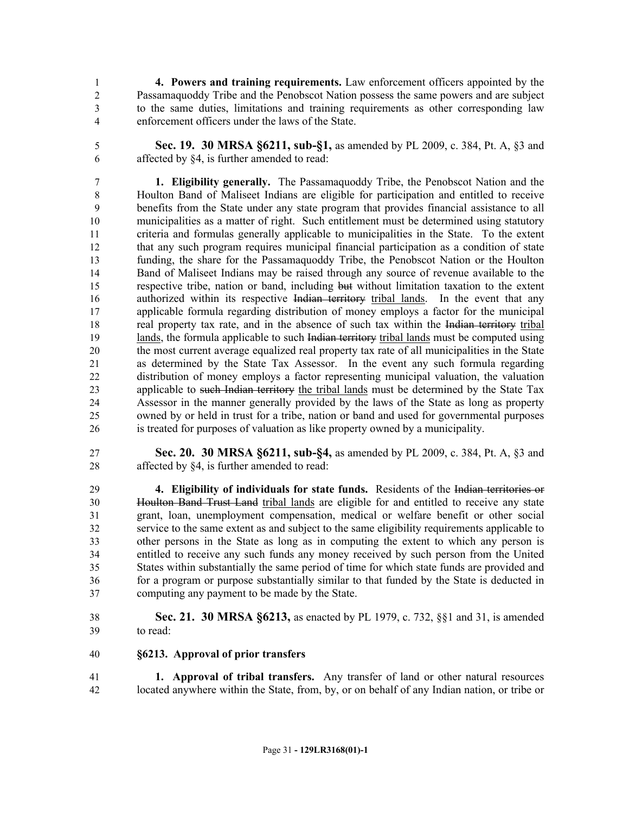**4. Powers and training requirements.** Law enforcement officers appointed by the Passamaquoddy Tribe and the Penobscot Nation possess the same powers and are subject to the same duties, limitations and training requirements as other corresponding law enforcement officers under the laws of the State.

 **Sec. 19. 30 MRSA §6211, sub-§1,** as amended by PL 2009, c. 384, Pt. A, §3 and affected by §4, is further amended to read:

 **1. Eligibility generally.** The Passamaquoddy Tribe, the Penobscot Nation and the Houlton Band of Maliseet Indians are eligible for participation and entitled to receive benefits from the State under any state program that provides financial assistance to all municipalities as a matter of right. Such entitlement must be determined using statutory criteria and formulas generally applicable to municipalities in the State. To the extent that any such program requires municipal financial participation as a condition of state funding, the share for the Passamaquoddy Tribe, the Penobscot Nation or the Houlton Band of Maliseet Indians may be raised through any source of revenue available to the respective tribe, nation or band, including but without limitation taxation to the extent 16 authorized within its respective Indian territory tribal lands. In the event that any applicable formula regarding distribution of money employs a factor for the municipal real property tax rate, and in the absence of such tax within the Indian territory tribal 19 lands, the formula applicable to such Indian territory tribal lands must be computed using the most current average equalized real property tax rate of all municipalities in the State as determined by the State Tax Assessor. In the event any such formula regarding distribution of money employs a factor representing municipal valuation, the valuation 23 applicable to such Indian territory the tribal lands must be determined by the State Tax Assessor in the manner generally provided by the laws of the State as long as property owned by or held in trust for a tribe, nation or band and used for governmental purposes is treated for purposes of valuation as like property owned by a municipality.

 **Sec. 20. 30 MRSA §6211, sub-§4,** as amended by PL 2009, c. 384, Pt. A, §3 and affected by §4, is further amended to read:

 **4. Eligibility of individuals for state funds.** Residents of the Indian territories or Houlton Band Trust Land tribal lands are eligible for and entitled to receive any state grant, loan, unemployment compensation, medical or welfare benefit or other social service to the same extent as and subject to the same eligibility requirements applicable to other persons in the State as long as in computing the extent to which any person is entitled to receive any such funds any money received by such person from the United States within substantially the same period of time for which state funds are provided and for a program or purpose substantially similar to that funded by the State is deducted in computing any payment to be made by the State.

 **Sec. 21. 30 MRSA §6213,** as enacted by PL 1979, c. 732, §§1 and 31, is amended to read:

#### **§6213. Approval of prior transfers**

 **1. Approval of tribal transfers.** Any transfer of land or other natural resources located anywhere within the State, from, by, or on behalf of any Indian nation, or tribe or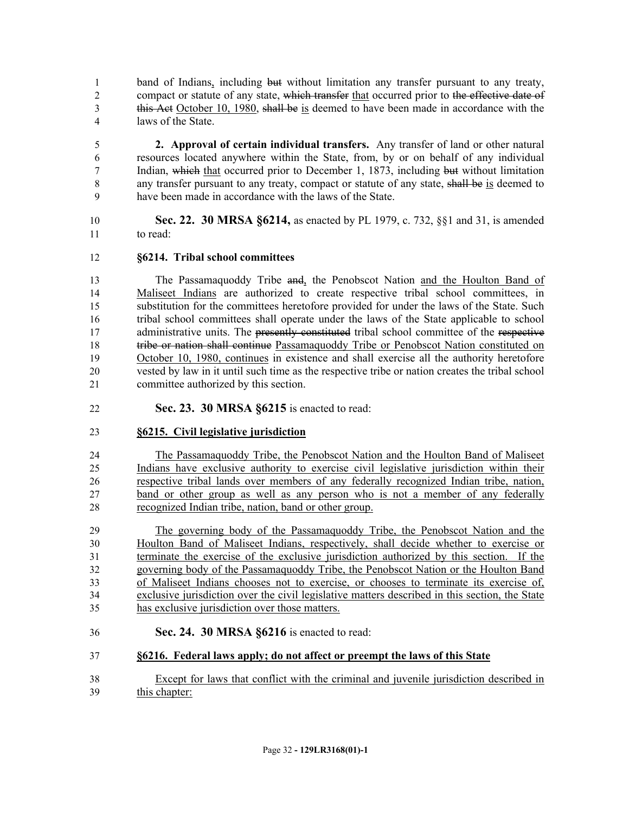band of Indians, including but without limitation any transfer pursuant to any treaty, 2 compact or statute of any state, which transfer that occurred prior to the effective date of 3 this Act October 10, 1980, shall be is deemed to have been made in accordance with the laws of the State.

 **2. Approval of certain individual transfers.** Any transfer of land or other natural resources located anywhere within the State, from, by or on behalf of any individual Indian, which that occurred prior to December 1, 1873, including but without limitation 8 any transfer pursuant to any treaty, compact or statute of any state, shall be is deemed to have been made in accordance with the laws of the State.

 **Sec. 22. 30 MRSA §6214,** as enacted by PL 1979, c. 732, §§1 and 31, is amended to read:

#### **§6214. Tribal school committees**

 The Passamaquoddy Tribe and, the Penobscot Nation and the Houlton Band of Maliseet Indians are authorized to create respective tribal school committees, in substitution for the committees heretofore provided for under the laws of the State. Such tribal school committees shall operate under the laws of the State applicable to school 17 administrative units. The presently constituted tribal school committee of the respective tribe or nation shall continue Passamaquoddy Tribe or Penobscot Nation constituted on October 10, 1980, continues in existence and shall exercise all the authority heretofore vested by law in it until such time as the respective tribe or nation creates the tribal school committee authorized by this section.

**Sec. 23. 30 MRSA §6215** is enacted to read:

#### **§6215. Civil legislative jurisdiction**

 The Passamaquoddy Tribe, the Penobscot Nation and the Houlton Band of Maliseet Indians have exclusive authority to exercise civil legislative jurisdiction within their respective tribal lands over members of any federally recognized Indian tribe, nation, band or other group as well as any person who is not a member of any federally recognized Indian tribe, nation, band or other group.

 The governing body of the Passamaquoddy Tribe, the Penobscot Nation and the Houlton Band of Maliseet Indians, respectively, shall decide whether to exercise or terminate the exercise of the exclusive jurisdiction authorized by this section. If the governing body of the Passamaquoddy Tribe, the Penobscot Nation or the Houlton Band of Maliseet Indians chooses not to exercise, or chooses to terminate its exercise of, exclusive jurisdiction over the civil legislative matters described in this section, the State has exclusive jurisdiction over those matters.

**Sec. 24. 30 MRSA §6216** is enacted to read:

#### **§6216. Federal laws apply; do not affect or preempt the laws of this State**

 Except for laws that conflict with the criminal and juvenile jurisdiction described in this chapter: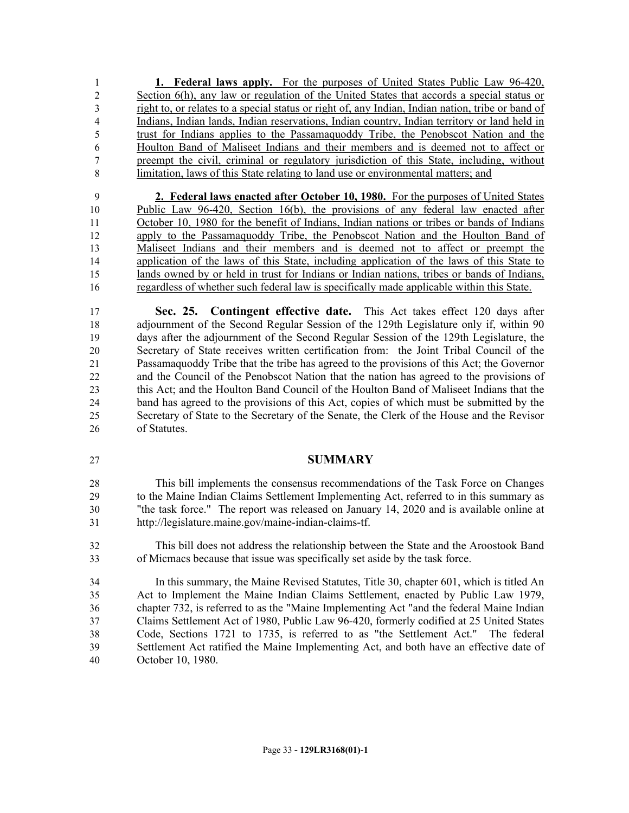**1. Federal laws apply.** For the purposes of United States Public Law 96-420, Section 6(h), any law or regulation of the United States that accords a special status or right to, or relates to a special status or right of, any Indian, Indian nation, tribe or band of Indians, Indian lands, Indian reservations, Indian country, Indian territory or land held in trust for Indians applies to the Passamaquoddy Tribe, the Penobscot Nation and the Houlton Band of Maliseet Indians and their members and is deemed not to affect or preempt the civil, criminal or regulatory jurisdiction of this State, including, without limitation, laws of this State relating to land use or environmental matters; and

 **2. Federal laws enacted after October 10, 1980.** For the purposes of United States Public Law 96-420, Section 16(b), the provisions of any federal law enacted after October 10, 1980 for the benefit of Indians, Indian nations or tribes or bands of Indians apply to the Passamaquoddy Tribe, the Penobscot Nation and the Houlton Band of Maliseet Indians and their members and is deemed not to affect or preempt the application of the laws of this State, including application of the laws of this State to lands owned by or held in trust for Indians or Indian nations, tribes or bands of Indians, regardless of whether such federal law is specifically made applicable within this State.

 **Sec. 25. Contingent effective date.** This Act takes effect 120 days after adjournment of the Second Regular Session of the 129th Legislature only if, within 90 days after the adjournment of the Second Regular Session of the 129th Legislature, the Secretary of State receives written certification from: the Joint Tribal Council of the Passamaquoddy Tribe that the tribe has agreed to the provisions of this Act; the Governor and the Council of the Penobscot Nation that the nation has agreed to the provisions of this Act; and the Houlton Band Council of the Houlton Band of Maliseet Indians that the band has agreed to the provisions of this Act, copies of which must be submitted by the Secretary of State to the Secretary of the Senate, the Clerk of the House and the Revisor of Statutes.

#### **SUMMARY**

 This bill implements the consensus recommendations of the Task Force on Changes to the Maine Indian Claims Settlement Implementing Act, referred to in this summary as "the task force." The report was released on January 14, 2020 and is available online at http://legislature.maine.gov/maine-indian-claims-tf.

 This bill does not address the relationship between the State and the Aroostook Band of Micmacs because that issue was specifically set aside by the task force.

 In this summary, the Maine Revised Statutes, Title 30, chapter 601, which is titled An Act to Implement the Maine Indian Claims Settlement, enacted by Public Law 1979, chapter 732, is referred to as the "Maine Implementing Act "and the federal Maine Indian Claims Settlement Act of 1980, Public Law 96-420, formerly codified at 25 United States Code, Sections 1721 to 1735, is referred to as "the Settlement Act." The federal Settlement Act ratified the Maine Implementing Act, and both have an effective date of October 10, 1980.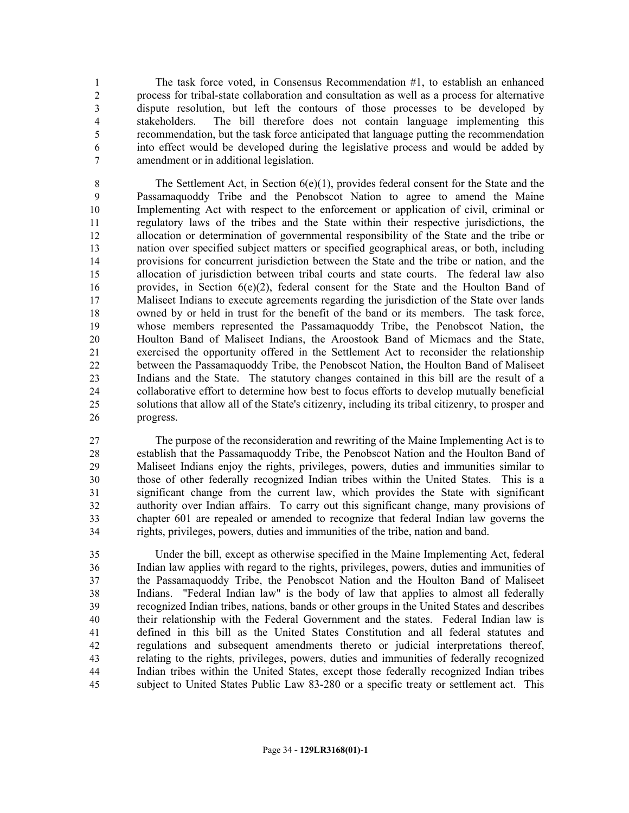The task force voted, in Consensus Recommendation #1, to establish an enhanced process for tribal-state collaboration and consultation as well as a process for alternative dispute resolution, but left the contours of those processes to be developed by stakeholders. The bill therefore does not contain language implementing this recommendation, but the task force anticipated that language putting the recommendation into effect would be developed during the legislative process and would be added by amendment or in additional legislation.

8 The Settlement Act, in Section 6(e)(1), provides federal consent for the State and the Passamaquoddy Tribe and the Penobscot Nation to agree to amend the Maine Implementing Act with respect to the enforcement or application of civil, criminal or regulatory laws of the tribes and the State within their respective jurisdictions, the allocation or determination of governmental responsibility of the State and the tribe or nation over specified subject matters or specified geographical areas, or both, including provisions for concurrent jurisdiction between the State and the tribe or nation, and the allocation of jurisdiction between tribal courts and state courts. The federal law also 16 provides, in Section  $6(e)(2)$ , federal consent for the State and the Houlton Band of Maliseet Indians to execute agreements regarding the jurisdiction of the State over lands owned by or held in trust for the benefit of the band or its members. The task force, whose members represented the Passamaquoddy Tribe, the Penobscot Nation, the Houlton Band of Maliseet Indians, the Aroostook Band of Micmacs and the State, exercised the opportunity offered in the Settlement Act to reconsider the relationship between the Passamaquoddy Tribe, the Penobscot Nation, the Houlton Band of Maliseet Indians and the State. The statutory changes contained in this bill are the result of a collaborative effort to determine how best to focus efforts to develop mutually beneficial solutions that allow all of the State's citizenry, including its tribal citizenry, to prosper and progress.

 The purpose of the reconsideration and rewriting of the Maine Implementing Act is to establish that the Passamaquoddy Tribe, the Penobscot Nation and the Houlton Band of Maliseet Indians enjoy the rights, privileges, powers, duties and immunities similar to those of other federally recognized Indian tribes within the United States. This is a significant change from the current law, which provides the State with significant authority over Indian affairs. To carry out this significant change, many provisions of chapter 601 are repealed or amended to recognize that federal Indian law governs the rights, privileges, powers, duties and immunities of the tribe, nation and band.

 Under the bill, except as otherwise specified in the Maine Implementing Act, federal Indian law applies with regard to the rights, privileges, powers, duties and immunities of the Passamaquoddy Tribe, the Penobscot Nation and the Houlton Band of Maliseet Indians. "Federal Indian law" is the body of law that applies to almost all federally recognized Indian tribes, nations, bands or other groups in the United States and describes their relationship with the Federal Government and the states. Federal Indian law is defined in this bill as the United States Constitution and all federal statutes and regulations and subsequent amendments thereto or judicial interpretations thereof, relating to the rights, privileges, powers, duties and immunities of federally recognized Indian tribes within the United States, except those federally recognized Indian tribes subject to United States Public Law 83-280 or a specific treaty or settlement act. This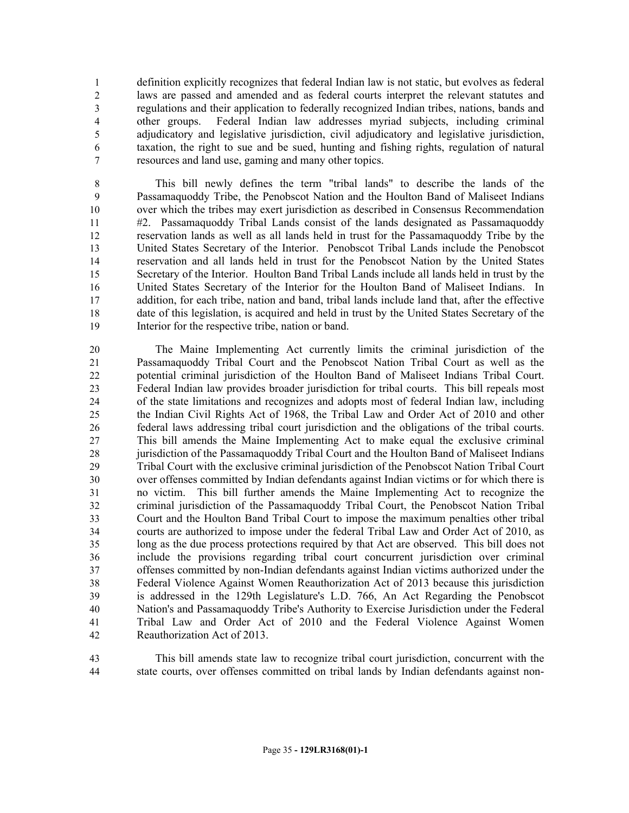definition explicitly recognizes that federal Indian law is not static, but evolves as federal laws are passed and amended and as federal courts interpret the relevant statutes and regulations and their application to federally recognized Indian tribes, nations, bands and other groups. Federal Indian law addresses myriad subjects, including criminal adjudicatory and legislative jurisdiction, civil adjudicatory and legislative jurisdiction, taxation, the right to sue and be sued, hunting and fishing rights, regulation of natural resources and land use, gaming and many other topics.

 This bill newly defines the term "tribal lands" to describe the lands of the Passamaquoddy Tribe, the Penobscot Nation and the Houlton Band of Maliseet Indians over which the tribes may exert jurisdiction as described in Consensus Recommendation #2. Passamaquoddy Tribal Lands consist of the lands designated as Passamaquoddy reservation lands as well as all lands held in trust for the Passamaquoddy Tribe by the United States Secretary of the Interior. Penobscot Tribal Lands include the Penobscot reservation and all lands held in trust for the Penobscot Nation by the United States Secretary of the Interior. Houlton Band Tribal Lands include all lands held in trust by the United States Secretary of the Interior for the Houlton Band of Maliseet Indians. In addition, for each tribe, nation and band, tribal lands include land that, after the effective date of this legislation, is acquired and held in trust by the United States Secretary of the Interior for the respective tribe, nation or band.

 The Maine Implementing Act currently limits the criminal jurisdiction of the Passamaquoddy Tribal Court and the Penobscot Nation Tribal Court as well as the potential criminal jurisdiction of the Houlton Band of Maliseet Indians Tribal Court. Federal Indian law provides broader jurisdiction for tribal courts. This bill repeals most of the state limitations and recognizes and adopts most of federal Indian law, including the Indian Civil Rights Act of 1968, the Tribal Law and Order Act of 2010 and other federal laws addressing tribal court jurisdiction and the obligations of the tribal courts. This bill amends the Maine Implementing Act to make equal the exclusive criminal jurisdiction of the Passamaquoddy Tribal Court and the Houlton Band of Maliseet Indians Tribal Court with the exclusive criminal jurisdiction of the Penobscot Nation Tribal Court over offenses committed by Indian defendants against Indian victims or for which there is no victim. This bill further amends the Maine Implementing Act to recognize the criminal jurisdiction of the Passamaquoddy Tribal Court, the Penobscot Nation Tribal Court and the Houlton Band Tribal Court to impose the maximum penalties other tribal courts are authorized to impose under the federal Tribal Law and Order Act of 2010, as long as the due process protections required by that Act are observed. This bill does not include the provisions regarding tribal court concurrent jurisdiction over criminal offenses committed by non-Indian defendants against Indian victims authorized under the Federal Violence Against Women Reauthorization Act of 2013 because this jurisdiction is addressed in the 129th Legislature's L.D. 766, An Act Regarding the Penobscot Nation's and Passamaquoddy Tribe's Authority to Exercise Jurisdiction under the Federal Tribal Law and Order Act of 2010 and the Federal Violence Against Women Reauthorization Act of 2013.

 This bill amends state law to recognize tribal court jurisdiction, concurrent with the state courts, over offenses committed on tribal lands by Indian defendants against non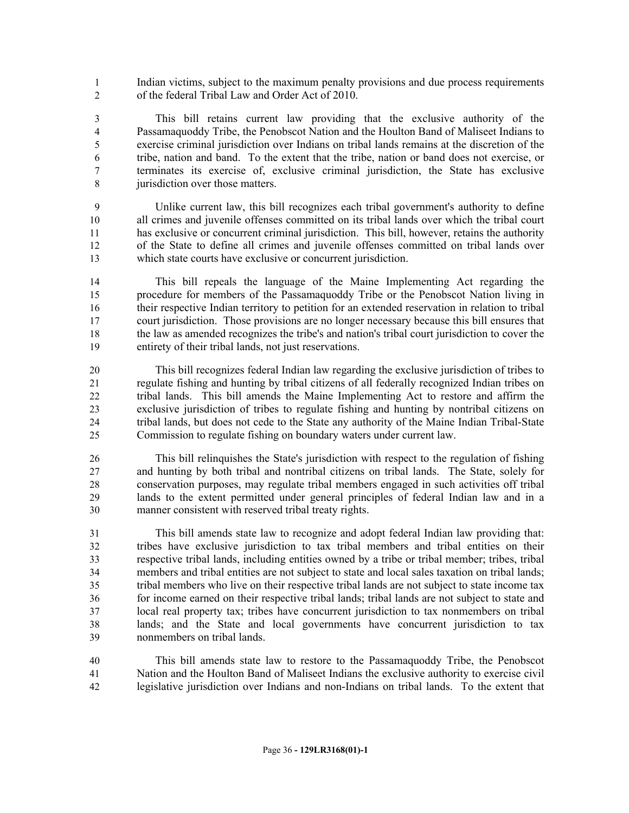Indian victims, subject to the maximum penalty provisions and due process requirements of the federal Tribal Law and Order Act of 2010.

 This bill retains current law providing that the exclusive authority of the Passamaquoddy Tribe, the Penobscot Nation and the Houlton Band of Maliseet Indians to exercise criminal jurisdiction over Indians on tribal lands remains at the discretion of the tribe, nation and band. To the extent that the tribe, nation or band does not exercise, or terminates its exercise of, exclusive criminal jurisdiction, the State has exclusive 8 iurisdiction over those matters.

 Unlike current law, this bill recognizes each tribal government's authority to define all crimes and juvenile offenses committed on its tribal lands over which the tribal court has exclusive or concurrent criminal jurisdiction. This bill, however, retains the authority of the State to define all crimes and juvenile offenses committed on tribal lands over which state courts have exclusive or concurrent jurisdiction.

 This bill repeals the language of the Maine Implementing Act regarding the procedure for members of the Passamaquoddy Tribe or the Penobscot Nation living in their respective Indian territory to petition for an extended reservation in relation to tribal court jurisdiction. Those provisions are no longer necessary because this bill ensures that the law as amended recognizes the tribe's and nation's tribal court jurisdiction to cover the entirety of their tribal lands, not just reservations.

 This bill recognizes federal Indian law regarding the exclusive jurisdiction of tribes to regulate fishing and hunting by tribal citizens of all federally recognized Indian tribes on tribal lands. This bill amends the Maine Implementing Act to restore and affirm the exclusive jurisdiction of tribes to regulate fishing and hunting by nontribal citizens on tribal lands, but does not cede to the State any authority of the Maine Indian Tribal-State Commission to regulate fishing on boundary waters under current law.

 This bill relinquishes the State's jurisdiction with respect to the regulation of fishing and hunting by both tribal and nontribal citizens on tribal lands. The State, solely for conservation purposes, may regulate tribal members engaged in such activities off tribal lands to the extent permitted under general principles of federal Indian law and in a manner consistent with reserved tribal treaty rights.

 This bill amends state law to recognize and adopt federal Indian law providing that: tribes have exclusive jurisdiction to tax tribal members and tribal entities on their respective tribal lands, including entities owned by a tribe or tribal member; tribes, tribal members and tribal entities are not subject to state and local sales taxation on tribal lands; tribal members who live on their respective tribal lands are not subject to state income tax for income earned on their respective tribal lands; tribal lands are not subject to state and local real property tax; tribes have concurrent jurisdiction to tax nonmembers on tribal lands; and the State and local governments have concurrent jurisdiction to tax nonmembers on tribal lands.

 This bill amends state law to restore to the Passamaquoddy Tribe, the Penobscot Nation and the Houlton Band of Maliseet Indians the exclusive authority to exercise civil legislative jurisdiction over Indians and non-Indians on tribal lands. To the extent that